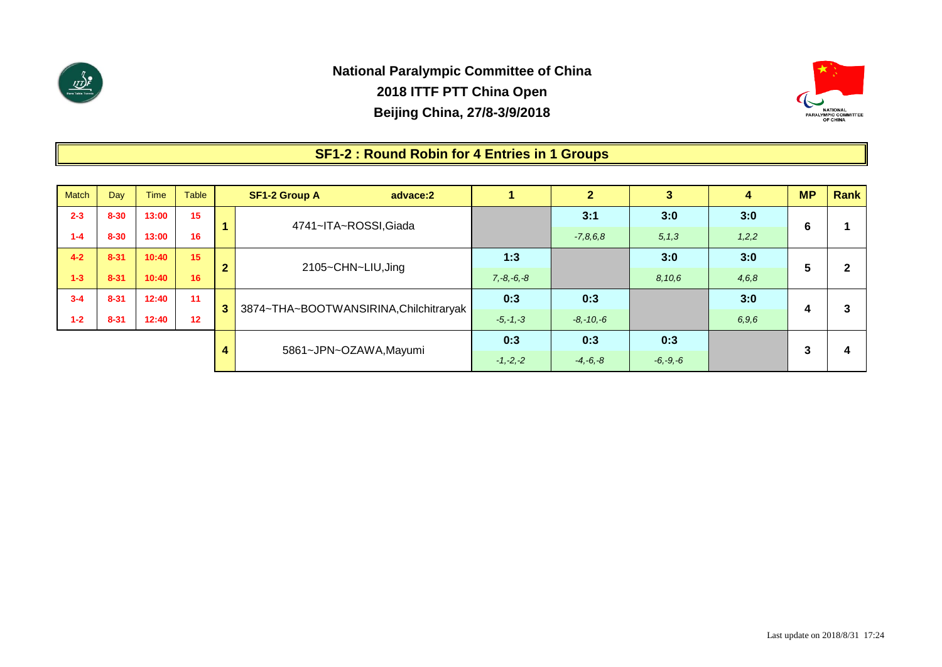



### **SF1-2 : Round Robin for 4 Entries in 1 Groups**

| <b>Match</b> | Day      | <b>Time</b> | <b>Table</b> |              | <b>SF1-2 Group A</b><br>advace:2       |                 | $\mathbf{2}$  | 3            | 4     | <b>MP</b> | Rank |
|--------------|----------|-------------|--------------|--------------|----------------------------------------|-----------------|---------------|--------------|-------|-----------|------|
| $2 - 3$      | $8 - 30$ | 13:00       | 15           |              | 4741~ITA~ROSSI, Giada                  |                 | 3:1           | 3:0          | 3:0   | 6         |      |
| $1 - 4$      | $8 - 30$ | 13:00       | 16           |              |                                        |                 | $-7,8,6,8$    | 5, 1, 3      | 1,2,2 |           |      |
| $4 - 2$      | $8 - 31$ | 10:40       | 15           | $\mathbf{2}$ |                                        | 1:3             |               | 3:0          | 3:0   | 5         |      |
| $1 - 3$      | $8 - 31$ | 10:40       | 16           |              | 2105~CHN~LIU, Jing                     | $7, -8, -6, -8$ |               | 8,10,6       | 4,6,8 |           |      |
| $3 - 4$      | $8 - 31$ | 12:40       | 11           | 3            | 3874~THA~BOOTWANSIRINA, Chilchitraryak | 0:3             | 0:3           |              | 3:0   |           |      |
| $1 - 2$      | $8 - 31$ | 12:40       | 12           |              |                                        | $-5, -1, -3$    | $-8, -10, -6$ |              | 6,9,6 | 4         |      |
|              |          |             |              |              |                                        | 0:3             | 0:3           | 0:3          |       | 3         |      |
|              |          |             |              | 4            | 5861~JPN~OZAWA,Mayumi                  | $-1, -2, -2$    | $-4, -6, -8$  | $-6, -9, -6$ |       |           | 4    |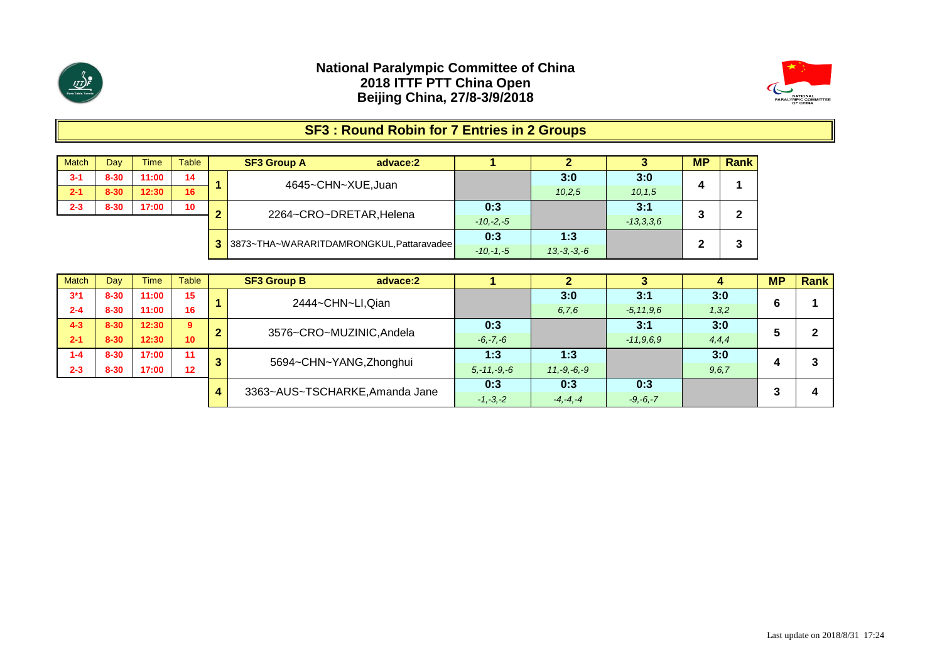

**2-1 8-30 12:30 16 2-3 8-30 17:00 10**

**Match 3-1 8-30 11:00 14**

#### **National Paralympic Committee of China 2018 ITTF PTT China Open Beijing China, 27/8-3/9/2018**



# **SF3 : Round Robin for 7 Entries in 2 Groups**

| Day      | Timel | Table | <b>SF3 Group A</b><br>advace:2             |               |                  |             | <b>MP</b> | <b>Rank</b> |  |
|----------|-------|-------|--------------------------------------------|---------------|------------------|-------------|-----------|-------------|--|
| $8 - 30$ | 11:00 | 14    | 4645~CHN~XUE, Juan                         |               | 3:0              | 3:0         | Д         |             |  |
| $8 - 30$ | 12:30 | 16    |                                            |               | 10.2.5           | 10, 1.5     |           |             |  |
| $8 - 30$ | 17:00 | 10    | 2264~CRO~DRETAR, Helena                    | 0:3           |                  | 3:1         | o         | 2           |  |
|          |       |       |                                            | $-10, -2, -5$ |                  | $-13,3,3,6$ |           |             |  |
|          |       |       | 3 3873~THA~WARARITDAMRONGKUL, Pattaravadee | 0:3           | 1:3              |             |           | າ           |  |
|          |       |       |                                            | $-10 - 1 - 5$ | $13, -3, -3, -6$ |             |           | P           |  |

| <b>Match</b> | Dav      | rime / | Table           |   | <b>SF3 Group B</b><br>advace:2 |                  |                  |                |         | <b>MP</b> | Rank |
|--------------|----------|--------|-----------------|---|--------------------------------|------------------|------------------|----------------|---------|-----------|------|
| $3*1$        | $8 - 30$ | 11:00  | 15              |   | 2444~CHN~LI, Qian              |                  | 3:0              | 3:1            | 3:0     | 6         |      |
| $2 - 4$      | $8 - 30$ | 11:00  | 16              |   |                                |                  | 6, 7, 6          | $-5, 11, 9, 6$ | 1,3,2   |           |      |
| $4 - 3$      | $8 - 30$ | 12:30  | 9               | ◠ | 3576~CRO~MUZINIC, Andela       | 0:3              |                  | 3:1            | 3:0     |           |      |
| $2 - 1$      | $8 - 30$ | 12:30  | 10 <sup>1</sup> |   |                                | $-6, -7, -6$     |                  | $-11,9.6.9$    | 4, 4, 4 |           |      |
| $1 - 4$      | $8 - 30$ | 17:00  | 11              |   | 5694~CHN~YANG, Zhonghui        | 1:3              | 1:3              |                | 3:0     |           |      |
| $2 - 3$      | $8 - 30$ | 17:00  | 12 <sup>1</sup> |   |                                | $5, -11, -9, -6$ | $11, -9, -6, -9$ |                | 9, 6, 7 |           |      |
|              |          |        |                 |   |                                | 0:3              | 0:3              | 0:3            |         |           |      |
|              |          |        |                 | 4 | 3363~AUS~TSCHARKE, Amanda Jane | $-1, -3, -2$     | $-4, -4, -4$     | $-9, -6, -7$   |         |           |      |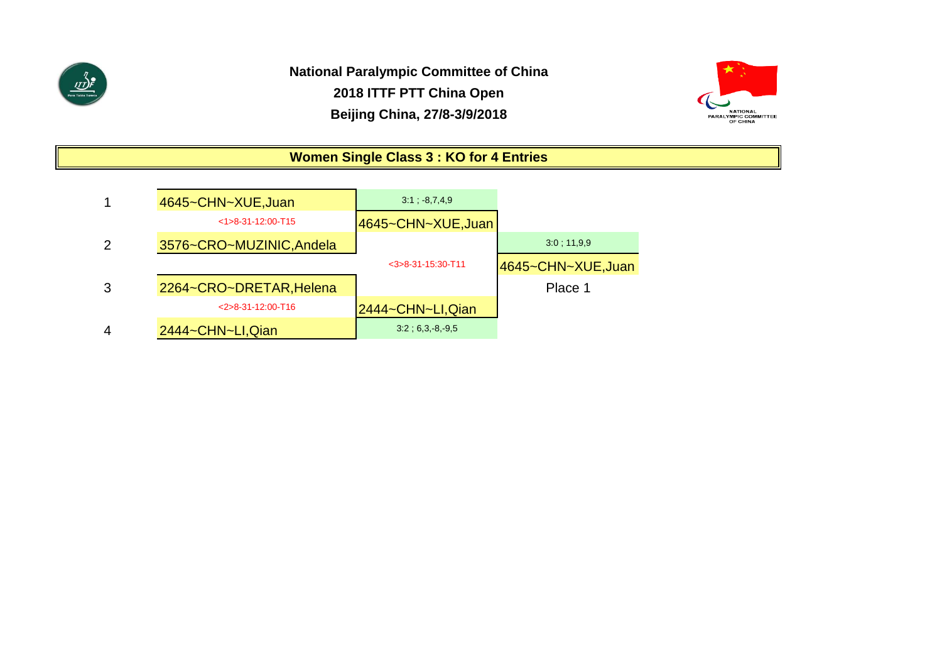



# **Women Single Class 3 : KO for 4 Entries**

|   | 4645~CHN~XUE, Juan       | $3:1$ ; $-8,7,4,9$   |                    |
|---|--------------------------|----------------------|--------------------|
|   | $<1>8-31-12:00-T15$      | 4645~CHN~XUE,Juan    |                    |
|   | 3576~CRO~MUZINIC, Andela |                      | 3:0:11,9.9         |
|   |                          | $<$ 3>8-31-15:30-T11 | 4645~CHN~XUE, Juan |
|   | 2264~CRO~DRETAR, Helena  |                      | Place 1            |
|   | $<$ 2>8-31-12:00-T16     | 2444~CHN~LI,Qian     |                    |
| 4 | 2444~CHN~LI, Qian        | $3:2$ ; 6,3, 8, 9,5  |                    |

0;match number not played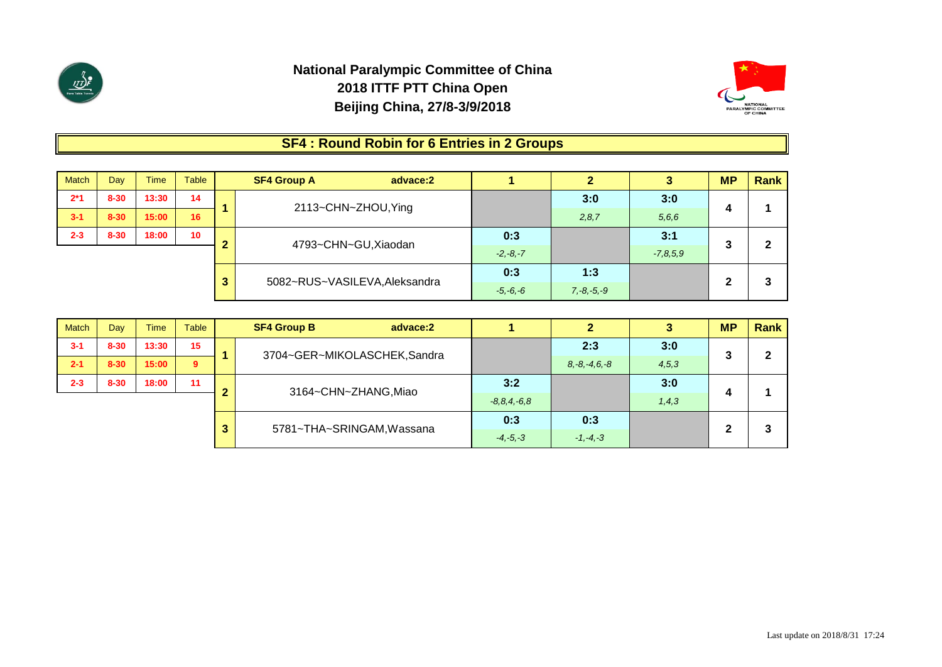



# **SF4 : Round Robin for 6 Entries in 2 Groups**

| <b>Match</b> | Day      | <b>Time</b> | <b>Table</b> |   | <b>SF4 Group A</b>            | advace:2 |              | $\mathbf{2}$    | 3          | <b>MP</b> | <b>Rank</b> |
|--------------|----------|-------------|--------------|---|-------------------------------|----------|--------------|-----------------|------------|-----------|-------------|
| $2*1$        | $8 - 30$ | 13:30       | 14           |   | 2113~CHN~ZHOU, Ying           |          |              | 3:0             | 3:0        |           |             |
| $3 - 1$      | $8 - 30$ | 15:00       | 16           |   |                               |          |              | 2,8,7           | 5,6,6      | 4         |             |
| $2 - 3$      | $8 - 30$ | 18:00       | 10           |   | 4793~CHN~GU, Xiaodan          |          | 0:3          |                 | 3:1        | ≏         | $\mathbf 2$ |
|              |          |             |              |   |                               |          | $-2, -8, -7$ |                 | $-7,8,5,9$ | J         |             |
|              |          |             |              | 3 | 5082~RUS~VASILEVA, Aleksandra |          | 0:3          | 1:3             |            | 2         |             |
|              |          |             |              |   |                               |          | $-5, -6, -6$ | $7, -8, -5, -9$ |            |           | 3           |

| <b>Match</b> | Day      | <b>Time</b> | Table          |   | <b>SF4 Group B</b> | advace:2                     |              |                    |         | <b>MP</b> | Rank         |
|--------------|----------|-------------|----------------|---|--------------------|------------------------------|--------------|--------------------|---------|-----------|--------------|
| $3 - 1$      | $8 - 30$ | 13:30       | 15             |   |                    | 3704~GER~MIKOLASCHEK, Sandra |              | 2:3                | 3:0     | ≏         | $\mathbf{2}$ |
| $2 - 1$      | $8 - 30$ | 15:00       | $\overline{9}$ |   |                    |                              |              | $8, -8, -4, 6, -8$ | 4,5,3   | C         |              |
| $2 - 3$      | $8 - 30$ | 18:00       | 11             |   |                    |                              | 3:2          |                    | 3:0     | Δ         |              |
|              |          |             |                |   |                    | 3164~CHN~ZHANG, Miao         |              |                    | 1, 4, 3 |           |              |
|              |          |             |                | 3 |                    | 5781~THA~SRINGAM, Wassana    |              | 0:3                |         |           |              |
|              |          |             |                |   |                    |                              | $-4, -5, -3$ | $-1, -4, -3$       |         | 2         | 3            |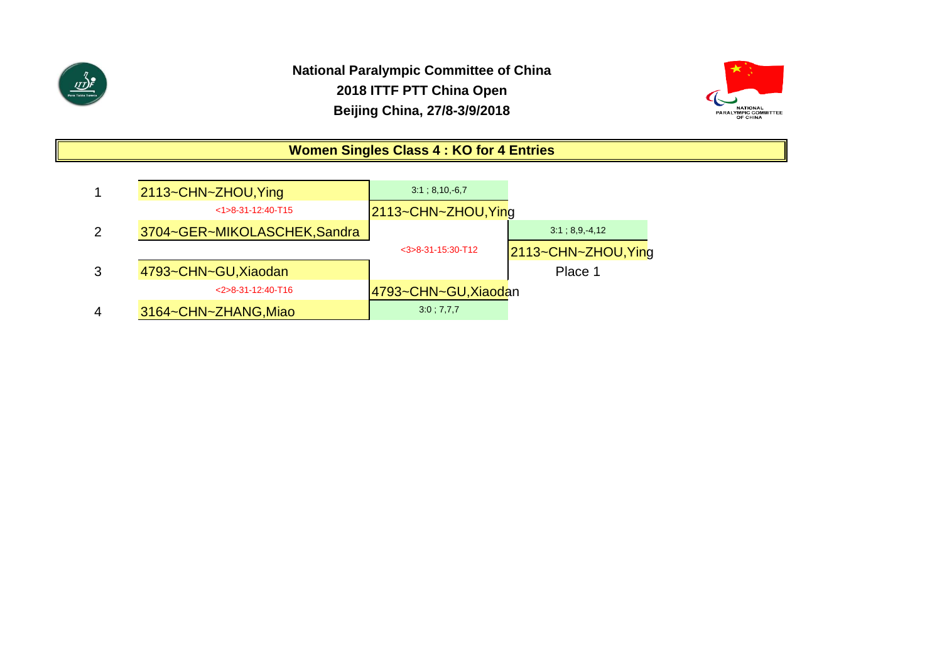

# **National Paralympic Committee of China 2018 ITTF PTT China Open Beijing China, 27/8-3/9/2018**



# **Women Singles Class 4 : KO for 4 Entries**

|   | 2113~CHN~ZHOU, Ying          | 3:1; 8,10, 6,7       |                     |
|---|------------------------------|----------------------|---------------------|
|   | $<1>8-31-12:40-T15$          | 2113~CHN~ZHOU, Ying  |                     |
| 2 | 3704~GER~MIKOLASCHEK, Sandra |                      | 3:1:8.9.4.12        |
|   |                              | $<$ 3>8-31-15:30-T12 | 2113~CHN~ZHOU, Ying |
| 3 | 4793~CHN~GU, Xiaodan         |                      | Place 1             |
|   | $<$ 2>8-31-12:40-T16         | 4793~CHN~GU, Xiaodan |                     |
| 4 | 3164~CHN~ZHANG, Miao         | 3:0; 7,7,7           |                     |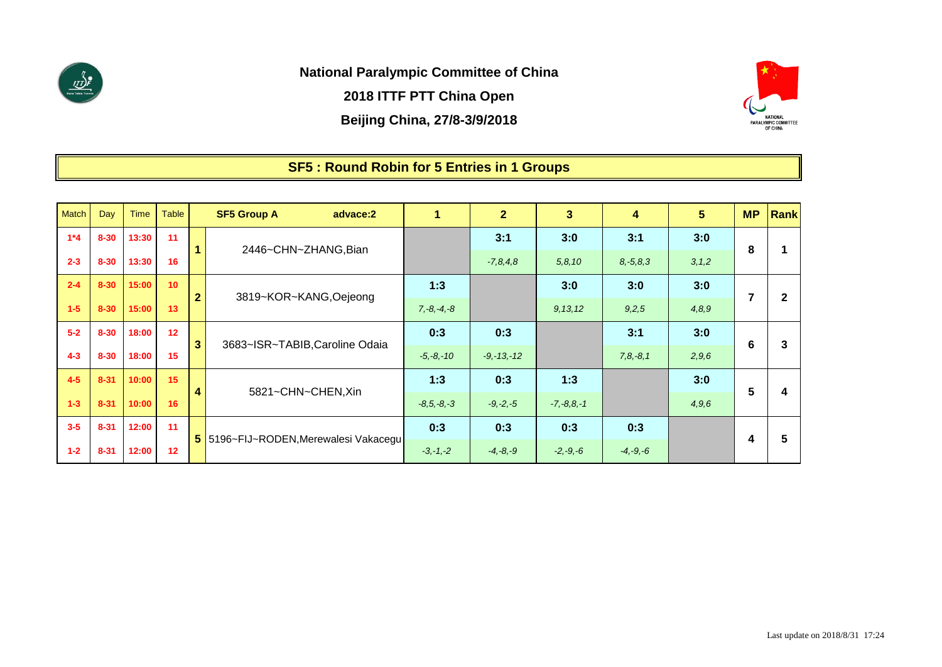

**National Paralympic Committee of China**

**2018 ITTF PTT China Open**

**Beijing China, 27/8-3/9/2018**



# **SF5 : Round Robin for 5 Entries in 1 Groups**

| Match   | Day      | <b>Time</b> | Table           |                         | <b>SF5 Group A</b>                    | advace:2 |                 | $\overline{2}$ | 3               | 4             | 5 <sup>5</sup> | <b>MP</b>      | <b>Rank</b>  |
|---------|----------|-------------|-----------------|-------------------------|---------------------------------------|----------|-----------------|----------------|-----------------|---------------|----------------|----------------|--------------|
| $1*4$   | $8 - 30$ | 13:30       | 11              | $\mathbf{1}$            |                                       |          |                 | 3:1            | 3:0             | 3:1           | 3:0            | 8              |              |
| $2 - 3$ | $8 - 30$ | 13:30       | 16              |                         | 2446~CHN~ZHANG, Bian                  |          |                 | $-7,8,4,8$     | 5, 8, 10        | $8, -5, 8, 3$ | 3, 1, 2        |                |              |
| $2 - 4$ | $8 - 30$ | 15:00       | 10 <sup>°</sup> | $\overline{2}$          | 3819~KOR~KANG, Oejeong                |          | 1:3             |                | 3:0             | 3:0           | 3:0            | $\overline{7}$ | $\mathbf{2}$ |
| $1 - 5$ | $8 - 30$ | 15:00       | 13              |                         |                                       |          | $7, -8, -4, -8$ |                | 9, 13, 12       | 9,2,5         | 4,8,9          |                |              |
| $5 - 2$ | $8 - 30$ | 18:00       | 12              | $\overline{\mathbf{3}}$ | 3683~ISR~TABIB, Caroline Odaia        |          | 0:3             | 0:3            |                 | 3:1           | 3:0            | 6              | 3            |
| $4 - 3$ | $8 - 30$ | 18:00       | 15              |                         |                                       |          | $-5, -8, -10$   | $-9, -13, -12$ |                 | $7, 8, -8, 1$ | 2,9,6          |                |              |
| $4 - 5$ | $8 - 31$ | 10:00       | 15 <sub>1</sub> | 4                       | 5821~CHN~CHEN, Xin                    |          | 1:3             | 0:3            | 1:3             |               | 3:0            | 5              | 4            |
| $1-3$   | $8 - 31$ | 10:00       | 16              |                         |                                       |          | $-8, 5, -8, -3$ | $-9, -2, -5$   | $-7, -8, 8, -1$ |               | 4,9,6          |                |              |
| $3 - 5$ | $8 - 31$ | 12:00       | 11              |                         | 5 5196~FIJ~RODEN, Merewalesi Vakacegu |          | 0:3             | 0:3            | 0:3             | 0:3           |                | 4              | 5            |
| $1 - 2$ | $8 - 31$ | 12:00       | 12 <sup>2</sup> |                         |                                       |          | $-3, -1, -2$    | $-4, -8, -9$   | $-2, -9, -6$    | $-4, -9, -6$  |                |                |              |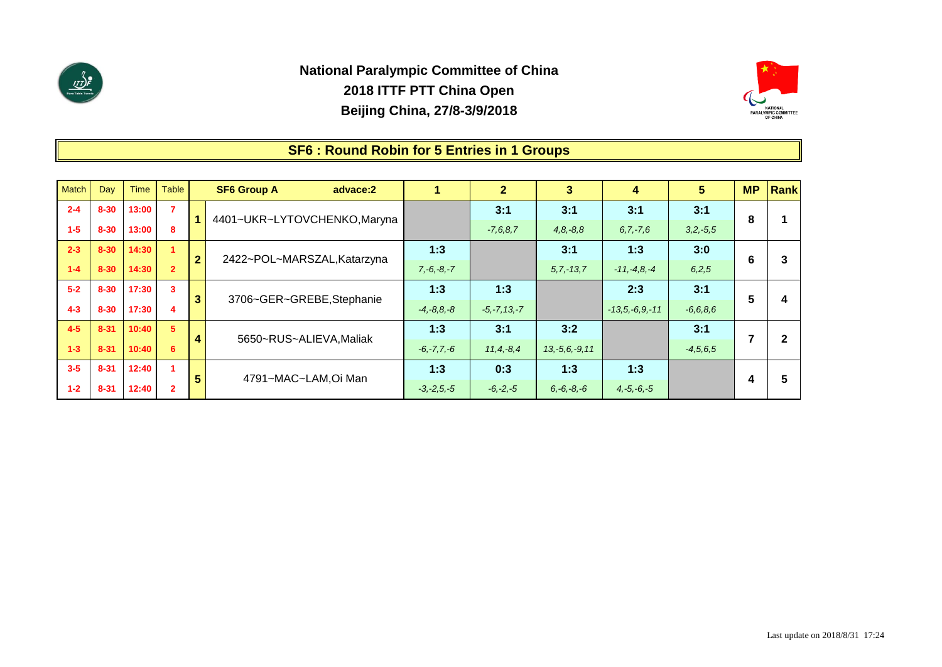

**1-2 8-31 12:40 2**

# **National Paralympic Committee of China 2018 ITTF PTT China Open Beijing China, 27/8-3/9/2018**



#### **1 3 4 2 5 SF6 : Round Robin for 5 Entries in 1 Groups 3:1** *-4,5,6,5* **8 6 5 7 4 3:1** *3,2,-5,5* **3:0** *6,2,5* **3:1** *-6,6,8,6* **3:1** *6,7,-7,6* **1:3** *-11,-4,8,-4* **2:3** *-13,5,-6,9,-11* **1:3 0:3 3:1** *4,8,-8,8* **3:1** *5,7,-13,7* **3:2** *13,-5,6,-9,11* **1:3** *-6,-7,7,-6* **1:3** *11,4,-8,4* **3:1** *-7,6,8,7* **1:3** *-5,-7,13,-7* **3:1 1:3** *7,-6,-8,-7* **1:3** *-4,-8,8,-8* **1:3 Rank 1 2 3 4 5** 4401~UKR~LYTOVCHENKO,Maryna 2422~POL~MARSZAL,Katarzyna 3706~GER~GREBE,Stephanie 5650~RUS~ALIEVA,Maliak **1 2 3 4 5 MP SF6 Group A advace:2** 4791~MAC~LAM,Oi Man **1-3 8-31 10:40 6 3-5 8-31 12:40 1 4-3 8-30 17:30 4 4-5 8-31 10:40 5 1-4 8-30 14:30 2 5-2 8-30 17:30 3 1-5 8-30 13:00 8 2-3 8-30 14:30 1** Match | Day | Time | Table **2-4 8-30 13:00 7**

*-3,-2,5,-5*

*6,-6,-8,-6*

*-6,-2,-5*

*4,-5,-6,-5*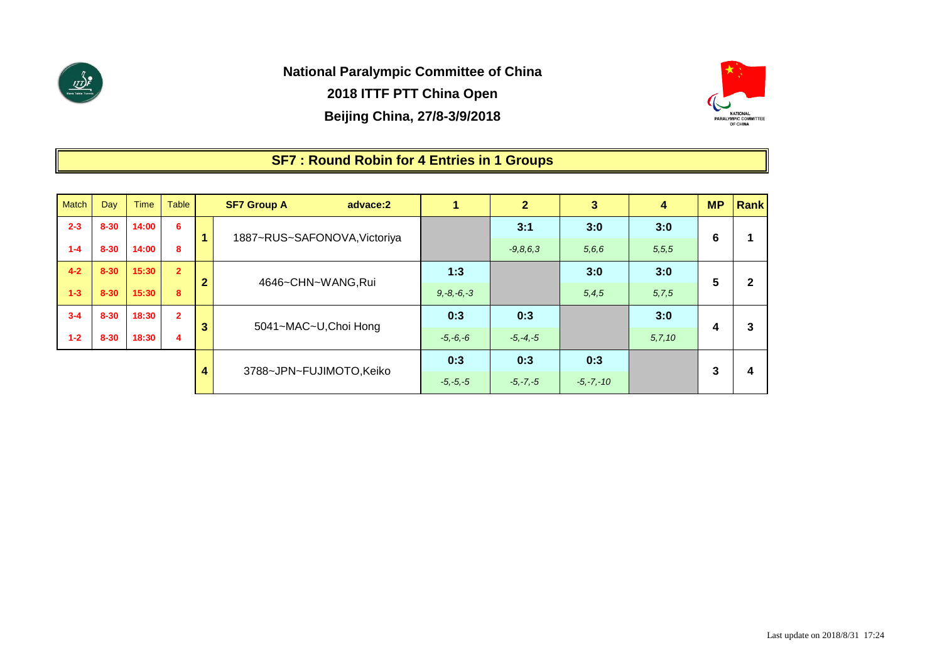



### **SF7 : Round Robin for 4 Entries in 1 Groups**

| <b>Match</b> | Day      | <b>Time</b> | <b>Table</b>   |                | <b>SF7 Group A</b><br>advace:2 |                 | $\overline{2}$ | $3\overline{)}$ | 4        | <b>MP</b> | Rank         |
|--------------|----------|-------------|----------------|----------------|--------------------------------|-----------------|----------------|-----------------|----------|-----------|--------------|
| $2 - 3$      | $8 - 30$ | 14:00       | 6              |                | 1887~RUS~SAFONOVA, Victoriya   |                 | 3:1            | 3:0             | 3:0      | 6         |              |
| $1 - 4$      | $8 - 30$ | 14:00       | 8              |                |                                |                 | $-9, 8, 6, 3$  | 5,6,6           | 5,5,5    |           |              |
| $4 - 2$      | $8 - 30$ | 15:30       | 2 <sup>1</sup> | $\overline{2}$ |                                | 1:3             |                | 3:0             | 3:0      | 5         | $\mathbf{2}$ |
| $1 - 3$      | $8 - 30$ | 15:30       | 8              |                | 4646~CHN~WANG,Rui              | $9, -8, -6, -3$ |                | 5, 4, 5         | 5,7,5    |           |              |
| $3 - 4$      | $8 - 30$ | 18:30       | 2 <sup>1</sup> |                |                                | 0:3             | 0:3            |                 | 3:0      |           |              |
| $1 - 2$      | $8 - 30$ | 18:30       | 4              | $\mathbf{3}$   | 5041~MAC~U, Choi Hong          | $-5, -6, -6$    | $-5, -4, -5$   |                 | 5, 7, 10 | 4         | 3            |
|              |          |             |                |                |                                | 0:3             | 0:3            | 0:3             |          |           |              |
|              |          |             |                | 4              | 3788~JPN~FUJIMOTO, Keiko       | $-5, -5, -5$    | $-5, -7, -5$   | $-5, -7, -10$   |          | 3         | 4            |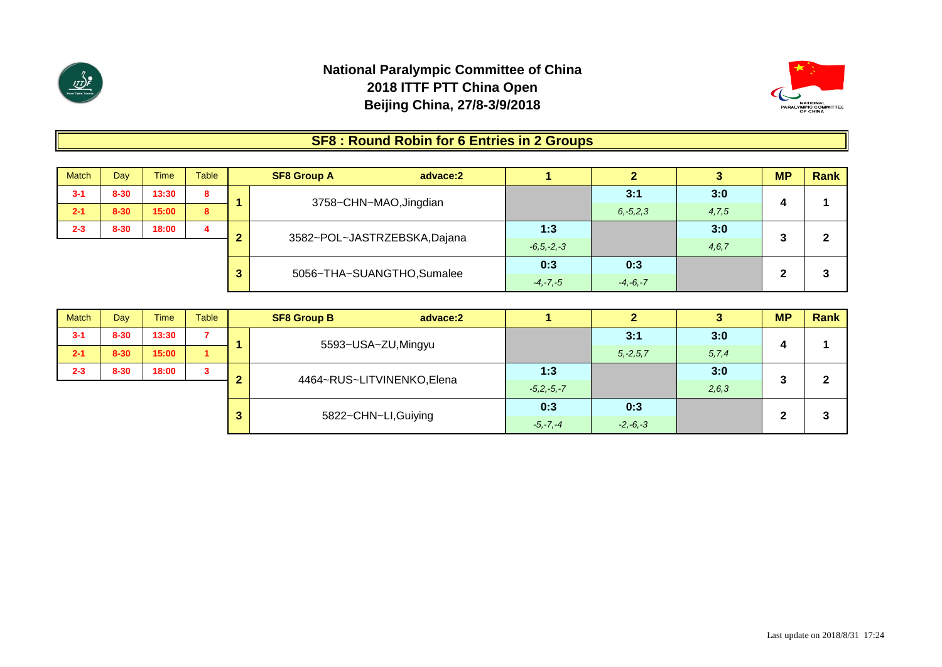



### **SF8 : Round Robin for 6 Entries in 2 Groups**

| <b>Match</b> | Day      | Time  | Table |   | <b>SF8 Group A</b><br>advace:2 |                             |              |               |       | <b>MP</b> | Rank |
|--------------|----------|-------|-------|---|--------------------------------|-----------------------------|--------------|---------------|-------|-----------|------|
| $3 - 1$      | $8 - 30$ | 13:30 | 8     |   |                                |                             |              | 3:1           | 3:0   |           |      |
| $2 - 1$      | $8 - 30$ | 15:00 | 8     |   | 3758~CHN~MAO, Jingdian         |                             |              | $6, -5, 2, 3$ | 4,7,5 | 4         |      |
| $2 - 3$      | $8 - 30$ | 18:00 | 4     |   |                                |                             | 1:3          |               | 3:0   | 2         | Ω    |
|              |          |       |       |   |                                | 3582~POL~JASTRZEBSKA,Dajana |              |               | 4,6,7 | v         |      |
|              |          |       |       | 3 |                                | 5056~THA~SUANGTHO,Sumalee   |              | 0:3           |       | ◠         | ິ    |
|              |          |       |       |   |                                |                             | $-4, -7, -5$ | $-4, -6, -7$  |       |           | w    |

| <b>Match</b> | Day      | <b>Time</b> | <b>Table</b> |   | <b>SF8 Group B</b>   | advace:2                  |              |               |         | <b>MP</b> | Rank |
|--------------|----------|-------------|--------------|---|----------------------|---------------------------|--------------|---------------|---------|-----------|------|
| $3 - 1$      | $8 - 30$ | 13:30       |              |   |                      | 5593~USA~ZU,Mingyu        |              | 3:1           | 3:0     |           |      |
| $2 - 1$      | $8 - 30$ | 15:00       |              |   |                      |                           |              | $5, -2, 5, 7$ | 5, 7, 4 | 4         |      |
| $2 - 3$      | $8 - 30$ | 18:00       | 3            |   |                      |                           | 1:3          |               | 3:0     | າ         | ົ    |
|              |          |             |              |   |                      | 4464~RUS~LITVINENKO,Elena |              |               | 2,6,3   | v         |      |
|              |          |             |              |   |                      |                           |              | 0:3           |         | ŋ         | o    |
|              |          |             |              | 3 | 5822~CHN~LI, Guiying |                           | $-5, -7, -4$ | $-2, -6, -3$  |         |           | w    |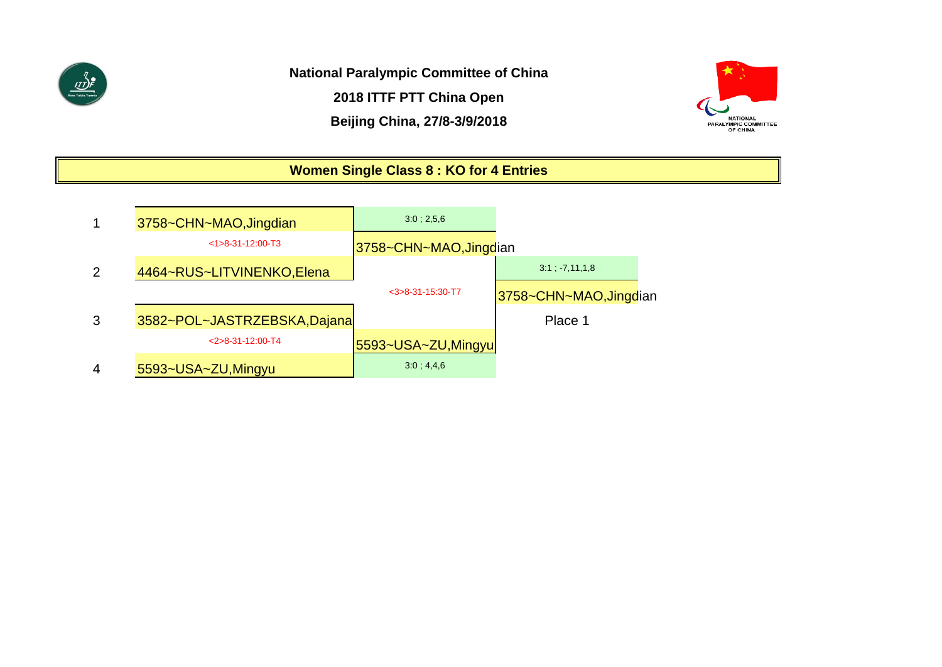

**National Paralympic Committee of China**

**2018 ITTF PTT China Open**

**Beijing China, 27/8-3/9/2018**



# **Women Single Class 8 : KO for 4 Entries**

|               | 3758~CHN~MAO, Jingdian       | 3.0:2.5.6              |                        |
|---------------|------------------------------|------------------------|------------------------|
|               | $<1>8-31-12:00-T3$           | 3758~CHN~MAO, Jingdian |                        |
| $\mathcal{P}$ | 4464~RUS~LITVINENKO, Elena   |                        | $3:1$ $7,11,1.8$       |
|               |                              | $<$ 3>8-31-15:30-T7    | 3758~CHN~MAO, Jingdian |
| 3             | 3582~POL~JASTRZEBSKA, Dajana |                        | Place 1                |
|               | $<2>8-31-12:00-T4$           | 5593~USA~ZU, Mingyu    |                        |
| 4             | 5593~USA~ZU, Mingyu          | $3.0 \div 4.4.6$       |                        |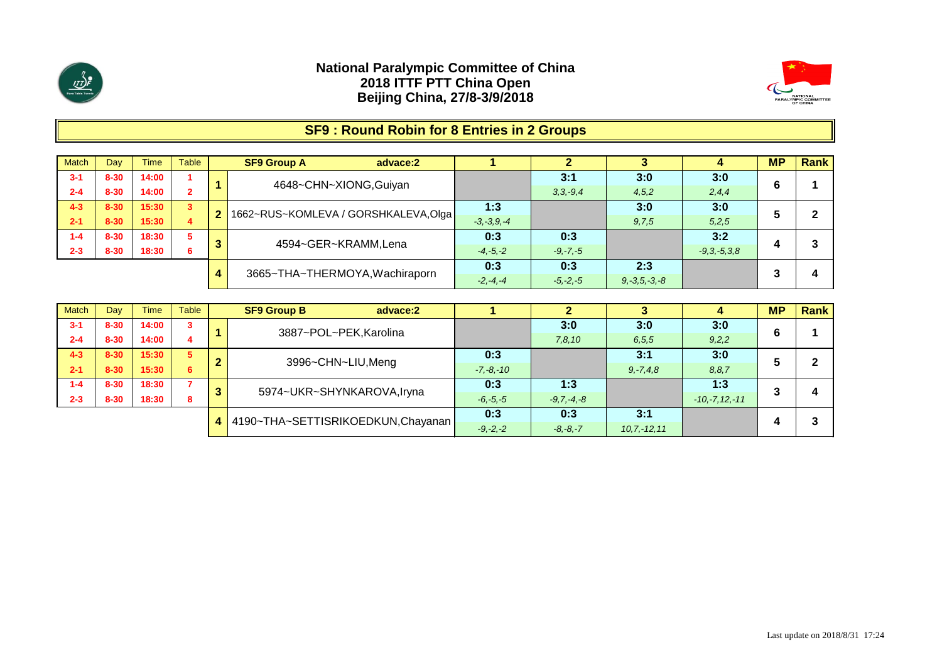



# **SF9 : Round Robin for 8 Entries in 2 Groups**

| Match   | Dav      | Time  | <b>Table</b> |              | <b>SF9 Group A</b><br>advace:2       |                 |              |                    | 4                 | <b>MP</b> | Rank |
|---------|----------|-------|--------------|--------------|--------------------------------------|-----------------|--------------|--------------------|-------------------|-----------|------|
| $3 - 1$ | $8 - 30$ | 14:00 |              |              | 4648~CHN~XIONG, Guiyan               |                 | 3:1          | 3:0                | 3:0               | 6         |      |
| $2 - 4$ | $8 - 30$ | 14:00 |              |              |                                      |                 | $3,3,-9,4$   | 4,5,2              | 2,4,4             |           |      |
| $4 - 3$ | $8 - 30$ | 15:30 | $\mathbf{3}$ | $\mathbf{2}$ | 1662~RUS~KOMLEVA / GORSHKALEVA, Olga | 1:3             |              | 3:0                | 3:0               |           | ົ    |
| $2 - 1$ | $8 - 30$ | 15:30 | 4            |              |                                      | $-3, -3, 9, -4$ |              | 9,7,5              | 5,2,5             | э         |      |
| $1 - 4$ | $8 - 30$ | 18:30 | 5            | 3            | 4594~GER~KRAMM,Lena                  | 0:3             | 0:3          |                    | 3:2               |           | 3    |
| $2 - 3$ | $8 - 30$ | 18:30 | 6            |              |                                      | $-4, -5, -2$    | $-9, -7, -5$ |                    | $-9, 3, -5, 3, 8$ | 4         |      |
|         |          |       |              |              | 3665~THA~THERMOYA, Wachiraporn       | 0:3             | 0:3          | 2:3                |                   |           |      |
|         |          |       |              | 4            |                                      | $-2, -4, -4$    | $-5, -2, -5$ | $9, -3, 5, -3, -8$ |                   |           |      |

| <b>Match</b> | Dav      | <b>Time</b> | Table          |   | <b>SF9 Group B</b><br>advace:2    |               |                 |                |                    | <b>MP</b> | Rank |
|--------------|----------|-------------|----------------|---|-----------------------------------|---------------|-----------------|----------------|--------------------|-----------|------|
| $3 - 1$      | $8 - 30$ | 14:00       | 3              |   | 3887~POL~PEK, Karolina            |               | 3:0             | 3:0            | 3:0                | 6         |      |
| $2 - 4$      | $8 - 30$ | 14:00       |                |   |                                   |               | 7,8,10          | 6, 5, 5        | 9,2,2              |           |      |
| $4 - 3$      | $8 - 30$ | 15:30       | 5 <sup>1</sup> |   | 3996~CHN~LIU, Meng                | 0:3           |                 | 3:1            | 3:0                |           |      |
| $2 - 1$      | $8 - 30$ | 15:30       | 6.             |   |                                   | $-7, -8, -10$ |                 | $9, -7, 4, 8$  | 8, 8, 7            |           |      |
| $1 - 4$      | $8 - 30$ | 18:30       |                | 3 | 5974~UKR~SHYNKAROVA, Iryna        | 0:3           | 1:3             |                | 1:3                | ີ         |      |
| $2 - 3$      | $8 - 30$ | 18:30       | 8              |   |                                   | $-6, -5, -5$  | $-9, 7, -4, -8$ |                | $-10, -7, 12, -11$ |           |      |
|              |          |             |                | 4 | 4190~THA~SETTISRIKOEDKUN,Chayanan | 0:3           | 0:3             | 3:1            |                    |           |      |
|              |          |             |                |   |                                   | $-9, -2, -2$  | $-8, -8, -7$    | $10.7 - 12.11$ |                    |           |      |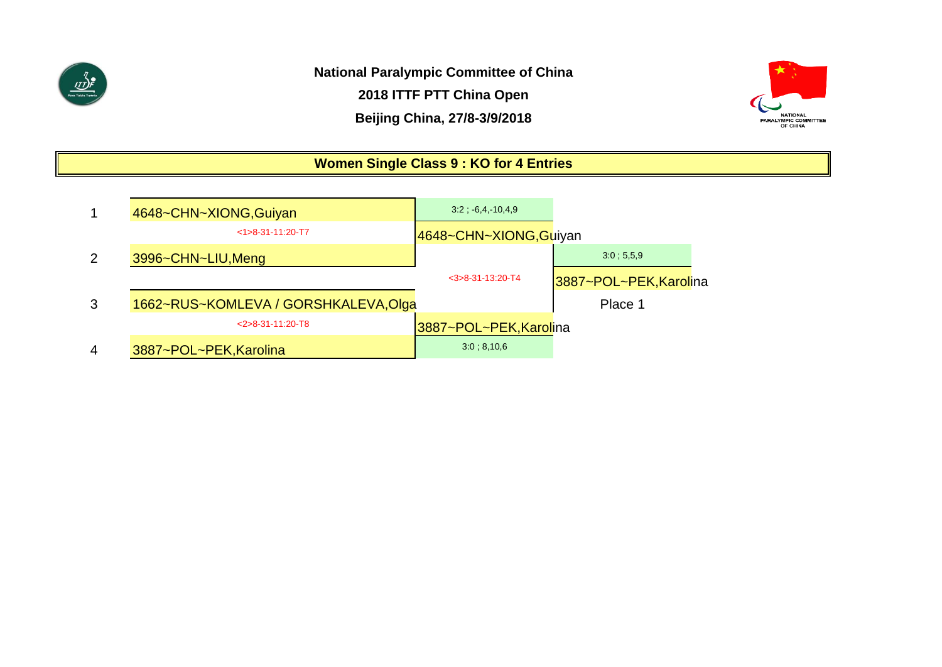

**National Paralympic Committee of China 2018 ITTF PTT China Open Beijing China, 27/8-3/9/2018**



# **Women Single Class 9 : KO for 4 Entries**

|   | 4648~CHN~XIONG, Guiyan               | $3.2; -6.4, 10.4.9$    |                        |
|---|--------------------------------------|------------------------|------------------------|
|   | $<1>8-31-11:20-T7$                   | 4648~CHN~XIONG,Guiyan  |                        |
| 2 | 3996~CHN~LIU, Meng                   |                        | 3:0:5.5.9              |
|   |                                      | $<$ 3>8-31-13:20-T4    | 3887~POL~PEK, Karolina |
| 3 | 1662~RUS~KOMLEVA / GORSHKALEVA, Olga |                        | Place 1                |
|   | $<$ 2>8-31-11:20-T8                  | 3887~POL~PEK, Karolina |                        |
| 4 | 3887~POL~PEK, Karolina               | 3.0:8,10.6             |                        |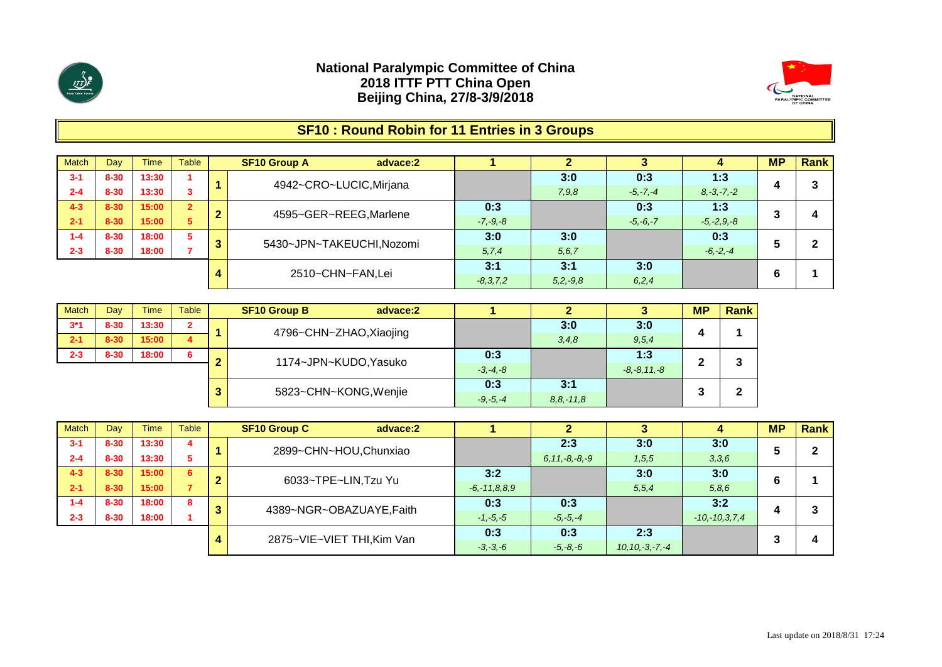



# **SF10 : Round Robin for 11 Entries in 3 Groups**

| <b>Match</b> | Day      | <b>Time</b> | Table          |   | <b>SF10 Group A</b><br>advace:2 |               |               |              |                 | <b>MP</b> | Rank |
|--------------|----------|-------------|----------------|---|---------------------------------|---------------|---------------|--------------|-----------------|-----------|------|
| $3 - 1$      | $8 - 30$ | 13:30       |                |   | 4942~CRO~LUCIC, Mirjana         |               | 3:0           | 0:3          | 1:3             |           | 3    |
| $2 - 4$      | $8 - 30$ | 13:30       |                |   |                                 |               | 7,9,8         | $-5, -7, -4$ | $8, -3, -7, -2$ | 4         |      |
| $4 - 3$      | $8 - 30$ | 15:00       | $\overline{2}$ | ∽ | 4595~GER~REEG, Marlene          | 0:3           |               | 0:3          | 1:3             | o         |      |
| $2 - 1$      | $8 - 30$ | 15:00       | 5              | ◢ |                                 | $-7, -9, -8$  |               | $-5, -6, -7$ | $-5, -2, 9, -8$ | J         |      |
| $1 - 4$      | $8 - 30$ | 18:00       | 5              |   | 5430~JPN~TAKEUCHI, Nozomi       | 3:0           | 3:0           |              | 0:3             |           | ົ    |
| $2 - 3$      | $8 - 30$ | 18:00       |                | 3 |                                 | 5, 7, 4       | 5, 6, 7       |              | $-6, -2, -4$    | ŋ         |      |
|              |          |             |                |   |                                 | 3:1           | 3:1           | 3:0          |                 |           |      |
|              |          |             |                | 4 | 2510~CHN~FAN,Lei                | $-8, 3, 7, 2$ | $5, 2, -9, 8$ | 6,2,4        |                 | 6         |      |

| <b>Match</b> | Day      | <b>Time</b> | <b>Table</b>          |              | <b>SF10 Group B</b><br>advace:2 |                  | 2           |       | <b>MP</b> | <b>Rank</b> |
|--------------|----------|-------------|-----------------------|--------------|---------------------------------|------------------|-------------|-------|-----------|-------------|
| $3*1$        | $8 - 30$ | 13:30       | $\overline{2}$        |              | 4796~CHN~ZHAO, Xiaojing         |                  | 3:0         | 3:0   |           |             |
| $2 - 1$      | $8 - 30$ | 15:00       | 4                     |              |                                 |                  | 3, 4, 8     | 9,5,4 | 4         |             |
| $2 - 3$      | $8 - 30$ | 18:00       | 6                     |              | 1174~JPN~KUDO, Yasuko           | 0:3              |             | 1:3   | m         | 3           |
|              |          |             |                       | $-3, -4, -8$ |                                 | $-8, -8, 11, -8$ | -           |       |           |             |
|              |          | 3           | 5823~CHN~KONG, Wenjie | 0:3          | 3:1                             |                  | $\bullet$   | ◠     |           |             |
|              |          |             |                       |              |                                 | $-9, -5, -4$     | $8,8,-11,8$ |       | J         |             |

| <b>Match</b> | Day      | <b>Time</b> | Table |   | <b>SF10 Group C</b><br>advace:2 |                    |                     |                      |                     | <b>MP</b> | Rank |
|--------------|----------|-------------|-------|---|---------------------------------|--------------------|---------------------|----------------------|---------------------|-----------|------|
| $3 - 1$      | $8 - 30$ | 13:30       | 4     |   | 2899~CHN~HOU, Chunxiao          |                    | 2:3                 | 3:0                  | 3:0                 |           |      |
| $2 - 4$      | $8 - 30$ | 13:30       |       |   |                                 |                    | $6, 11, -8, -8, -9$ | 1, 5, 5              | 3,3,6               | э         |      |
| $4 - 3$      | $8 - 30$ | 15:00       | 6     | ◠ | 6033~TPE~LIN, Tzu Yu            | 3:2                |                     | 3:0                  | 3:0                 | 6         |      |
| $2 - 1$      | $8 - 30$ | 15:00       |       |   |                                 | $-6, -11, 8, 8, 9$ |                     | 5,5,4                | 5,8,6               |           |      |
| $1 - 4$      | $8 - 30$ | 18:00       | 8     |   | 4389~NGR~OBAZUAYE, Faith        | 0:3                | 0:3                 |                      | 3:2                 |           |      |
| $2 - 3$      | $8 - 30$ | 18:00       |       | з |                                 | $-1, -5, -5$       | $-5, -5, -4$        |                      | $-10, -10, 3, 7, 4$ |           |      |
|              |          |             |       |   | 2875~VIE~VIET THI, Kim Van      | 0:3                | 0:3                 | 2:3                  |                     | ≏         |      |
|              |          |             |       |   |                                 | $-3, -3, -6$       | $-5, -8, -6$        | $10, 10, -3, -7, -4$ |                     |           |      |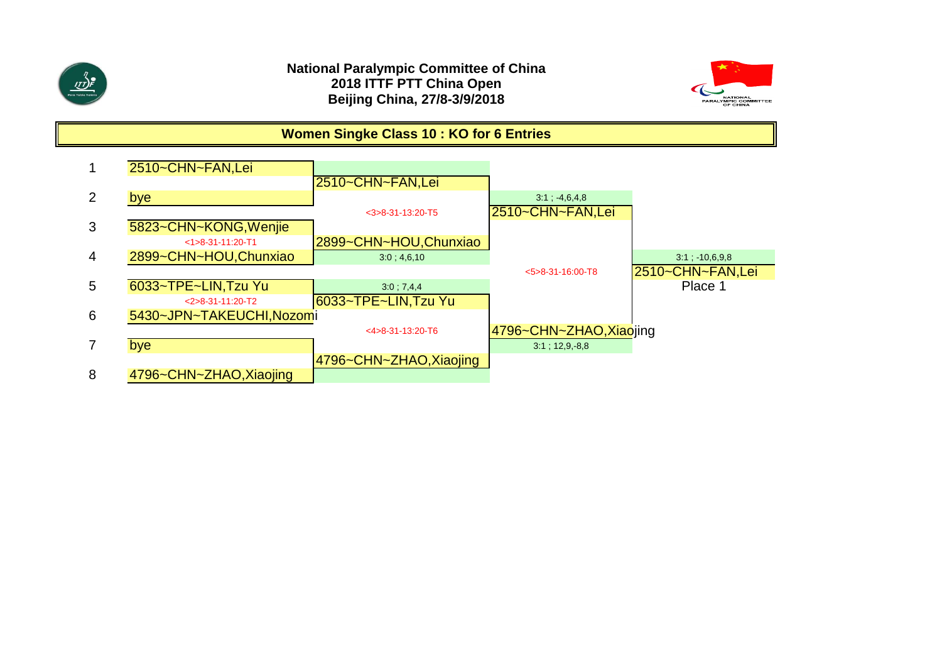



### **Women Singke Class 10 : KO for 6 Entries**

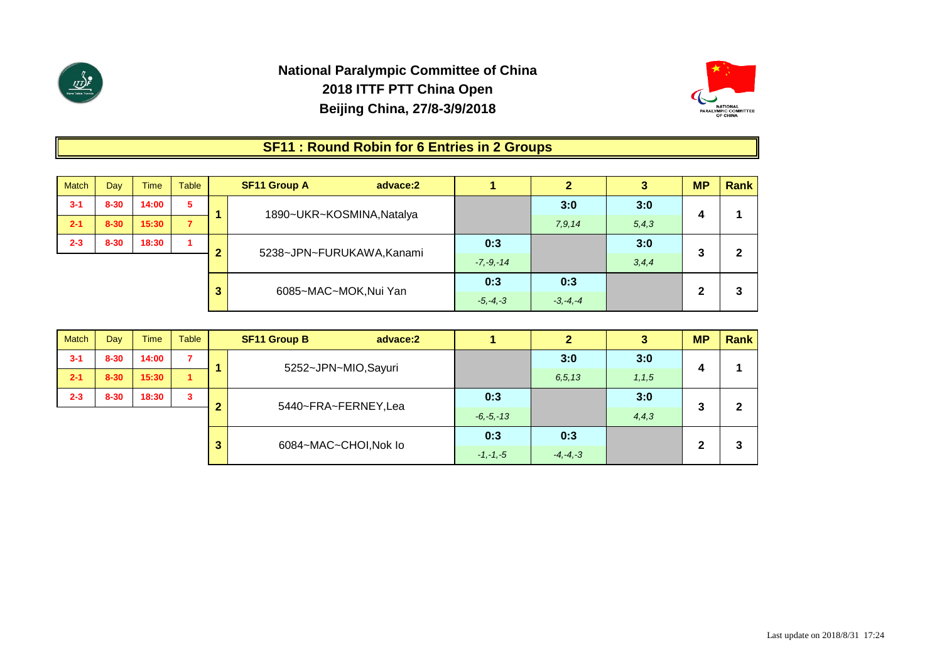



### **SF11 : Round Robin for 6 Entries in 2 Groups**

| <b>Match</b> | Day      | Time                  | <b>Table</b>   | <b>SF11 Group A</b><br>advace:2 |               | 2      |         | <b>MP</b> | <b>Rank</b> |
|--------------|----------|-----------------------|----------------|---------------------------------|---------------|--------|---------|-----------|-------------|
| $3 - 1$      | $8 - 30$ | 14:00                 | 5              |                                 |               | 3:0    | 3:0     |           |             |
| $2 - 1$      | $8 - 30$ | 15:30                 | $\overline{7}$ | 1890~UKR~KOSMINA, Natalya       |               | 7,9,14 | 5, 4, 3 | 4         |             |
| $2 - 3$      | $8 - 30$ | 18:30                 |                | 5238~JPN~FURUKAWA, Kanami       | 0:3           |        | 3:0     | 3         | າ           |
|              |          |                       |                |                                 | $-7, -9, -14$ |        | 3, 4, 4 |           |             |
|              |          |                       |                |                                 | 0:3           | 0:3    |         |           | 3           |
|              | 3        | 6085~MAC~MOK, Nui Yan | $-5, -4, -3$   | $-3, -4, -4$                    |               | 2      |         |           |             |

| <b>Match</b> | Day      | <b>Time</b> | Table                   |   | <b>SF11 Group B</b><br>advace:2 |               | 2            | 3       | <b>MP</b> | Rank |
|--------------|----------|-------------|-------------------------|---|---------------------------------|---------------|--------------|---------|-----------|------|
| $3 - 1$      | $8 - 30$ | 14:00       | $\overline{\mathbf{z}}$ |   | 5252~JPN~MIO,Sayuri             |               | 3:0          | 3:0     |           |      |
| $2 - 1$      | $8 - 30$ | 15:30       | 1                       |   |                                 |               | 6.5.13       | 1, 1, 5 | 4         |      |
| $2 - 3$      | $8 - 30$ | 18:30       | 3                       |   | 5440~FRA~FERNEY,Lea             | 0:3           |              | 3:0     |           | 2    |
|              |          |             |                         |   |                                 | $-6, -5, -13$ |              | 4, 4, 3 | 3         |      |
|              |          |             |                         |   |                                 | 0:3           | 0:3          |         |           |      |
|              |          |             |                         | 3 | 6084~MAC~CHOI, Nok lo           | $-1, -1, -5$  | $-4, -4, -3$ |         | 2         | 3    |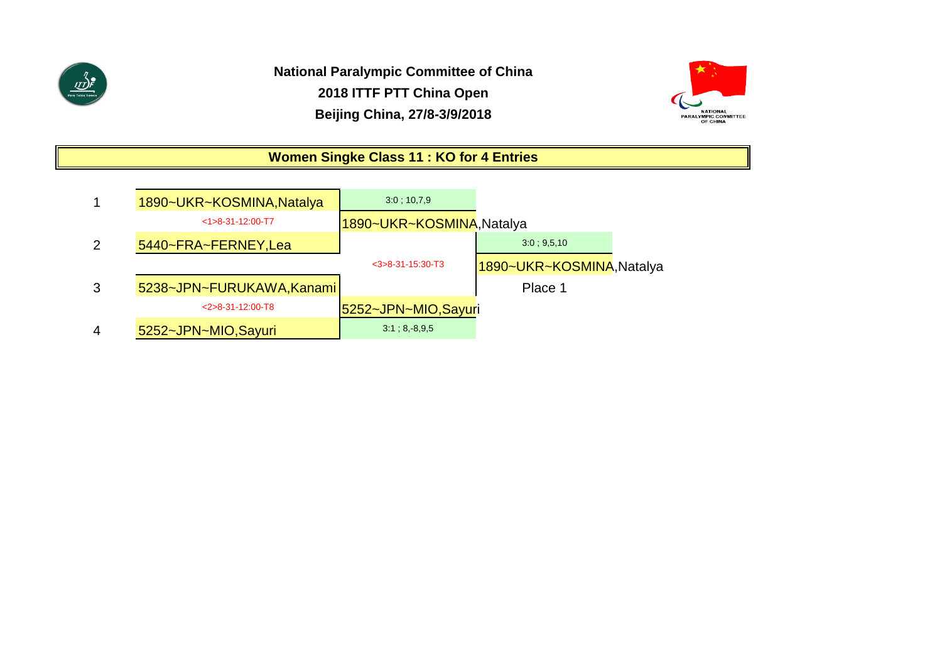



# **Women Singke Class 11 : KO for 4 Entries**

|                | 1890~UKR~KOSMINA, Natalya | 3.0; 10,7,9               |                          |
|----------------|---------------------------|---------------------------|--------------------------|
|                | $<1>8-31-12:00-T7$        | 1890~UKR~KOSMINA, Natalya |                          |
| 2              | 5440~FRA~FERNEY, Lea      |                           | 3:0:9.5.10               |
|                |                           | $<$ 3>8-31-15:30-T3       | 1890~UKR~KOSMINA,Natalya |
| 3              | 5238~JPN~FURUKAWA, Kanami |                           | Place 1                  |
|                | $<$ 2>8-31-12:00-T8       | 5252~JPN~MIO,Sayuri       |                          |
| $\overline{4}$ | 5252~JPN~MIO, Sayuri      | 3:1; 8, 8, 9, 5           |                          |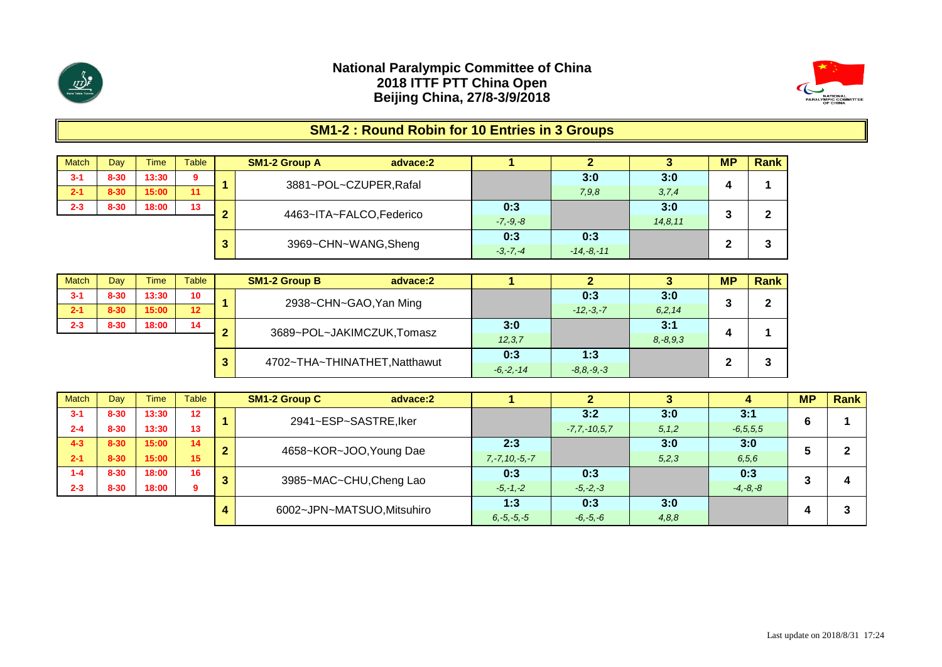



# **SM1-2 : Round Robin for 10 Entries in 3 Groups**

| <b>Match</b> | Day      | <b>Time</b> | <b>Table</b> |     | <b>SM1-2 Group A</b><br>advace:2 |              |                |           | <b>MP</b> | Rank |
|--------------|----------|-------------|--------------|-----|----------------------------------|--------------|----------------|-----------|-----------|------|
| $3 - 1$      | $8 - 30$ | 13:30       | 9            |     | 3881~POL~CZUPER, Rafal           |              | 3:0            | 3:0       |           |      |
| $2 - 1$      | $8 - 30$ | 15:00       | 11           |     |                                  |              | 7,9,8          | 3,7,4     | 4         |      |
| $2 - 3$      | $8 - 30$ | 18:00       | 13           | . . | 4463~ITA~FALCO, Federico         | 0:3          |                | 3:0       | -         | ◠    |
|              |          |             |              |     |                                  | $-7, -9, -8$ |                | 14, 8, 11 | w         |      |
|              |          |             |              | ≏   |                                  | 0:3          | 0:3            |           | G         | ◠    |
|              |          |             |              | o   | 3969~CHN~WANG, Sheng             | $-3, -7, -4$ | $-14, -8, -11$ |           | -         | J.   |

| <b>Match</b> | Dav      | Time  | Table                         |   | <b>SM1-2 Group B</b>      | advace:2 |               |                |          | <b>MP</b> | Rank |
|--------------|----------|-------|-------------------------------|---|---------------------------|----------|---------------|----------------|----------|-----------|------|
| $3 - 1$      | $8 - 30$ | 13:30 | 10 <sup>°</sup>               |   | 2938~CHN~GAO, Yan Ming    |          |               | 0:3            | 3:0      |           | ◠    |
| $2 - 1$      | $8 - 30$ | 15:00 | 12                            |   |                           |          |               | $-12, -3, -7$  | 6, 2, 14 |           |      |
| $2 - 3$      | $8 - 30$ | 18:00 | 14                            | ◠ | 3689~POL~JAKIMCZUK,Tomasz |          | 3:0           |                | 3:1      |           |      |
|              |          |       |                               |   |                           | 12, 3, 7 |               | $8, -8, 9, 3$  |          |           |      |
|              |          | 3     | 4702~THA~THINATHET, Natthawut |   | 0:3                       | 1:3      |               |                | ≏        |           |      |
|              |          |       |                               |   |                           |          | $-6, -2, -14$ | $-8.8, -9, -3$ |          |           |      |

| <b>Match</b> | Dav      | Time  | <b>Table</b>    | <b>SM1-2 Group C</b><br>advace:2 |                     |                    |         |               | <b>MP</b> | Rank |
|--------------|----------|-------|-----------------|----------------------------------|---------------------|--------------------|---------|---------------|-----------|------|
| $3 - 1$      | $8 - 30$ | 13:30 | 12 <sup>2</sup> | 2941~ESP~SASTRE, Iker            |                     | 3:2                | 3:0     | 3:1           |           |      |
| $2 - 4$      | $8 - 30$ | 13:30 | 13              |                                  |                     | $-7, 7, -10, 5, 7$ | 5, 1, 2 | $-6, 5, 5, 5$ |           |      |
| $4 - 3$      | $8 - 30$ | 15:00 | 14              | 4658~KOR~JOO, Young Dae          | 2:3                 |                    | 3:0     | 3:0           |           |      |
| $2 - 1$      | $8 - 30$ | 15:00 | 15              |                                  | $7, -7, 10, -5, -7$ |                    | 5,2,3   | 6, 5, 6       |           |      |
| 1-4          | $8 - 30$ | 18:00 | 16              | 3985~MAC~CHU, Cheng Lao          | 0:3                 | 0:3                |         | 0:3           |           |      |
| $2 - 3$      | $8 - 30$ | 18:00 | 9               |                                  | $-5, -1, -2$        | $-5, -2, -3$       |         | $-4, -8, -8$  |           | Д    |
|              |          |       |                 | 6002~JPN~MATSUO, Mitsuhiro       | 1:3                 | 0:3                | 3:0     |               |           | າ    |
|              |          |       |                 |                                  | $6, -5, -5, -5$     | $-6, -5, -6$       | 4,8,8   |               |           |      |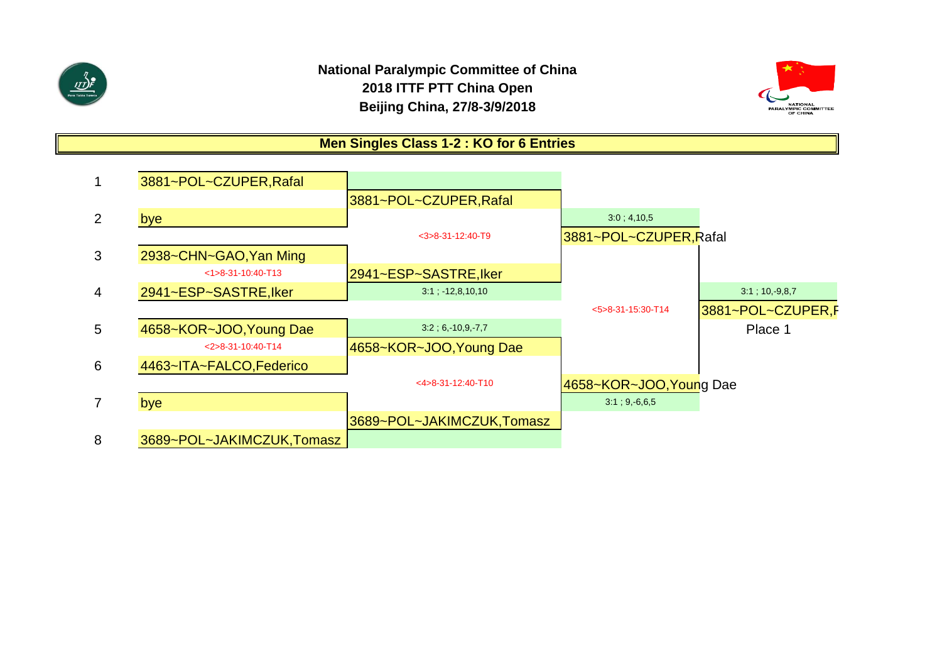

# **National Paralympic Committee of China 2018 ITTF PTT China Open Beijing China, 27/8-3/9/2018**



# **Men Singles Class 1-2 : KO for 6 Entries**

|                 | 3881~POL~CZUPER, Rafal    |                           |                            |                    |
|-----------------|---------------------------|---------------------------|----------------------------|--------------------|
|                 |                           | 3881~POL~CZUPER, Rafal    |                            |                    |
| 2               | bye                       |                           | 3:0; 4,10,5                |                    |
|                 |                           | $<$ 3>8-31-12:40-T9       | 3881~POL~CZUPER, Rafal     |                    |
| 3               | 2938~CHN~GAO, Yan Ming    |                           |                            |                    |
|                 | $<1>8-31-10:40-T13$       | 2941~ESP~SASTRE, Iker     |                            |                    |
| $\overline{4}$  | 2941~ESP~SASTRE, Iker     | $3:1$ ; $-12,8,10,10$     |                            | $3:1$ ; 10, -9,8,7 |
|                 |                           |                           | $5 > 8 - 31 - 15:30 - T14$ | 3881~POL~CZUPER,F  |
| $5\overline{)}$ | 4658~KOR~JOO, Young Dae   | $3.2$ ; 6, 10,9, 7,7      |                            | Place 1            |
|                 | $<$ 2>8-31-10:40-T14      | 4658~KOR~JOO, Young Dae   |                            |                    |
| 6               | 4463~ITA~FALCO, Federico  |                           |                            |                    |
|                 |                           | $<4>8-31-12:40-T10$       | 4658~KOR~JOO, Young Dae    |                    |
| $\overline{7}$  | bye                       |                           | $3:1; 9, -6, 6, 5$         |                    |
|                 |                           | 3689~POL~JAKIMCZUK,Tomasz |                            |                    |
| 8               | 3689~POL~JAKIMCZUK,Tomasz |                           |                            |                    |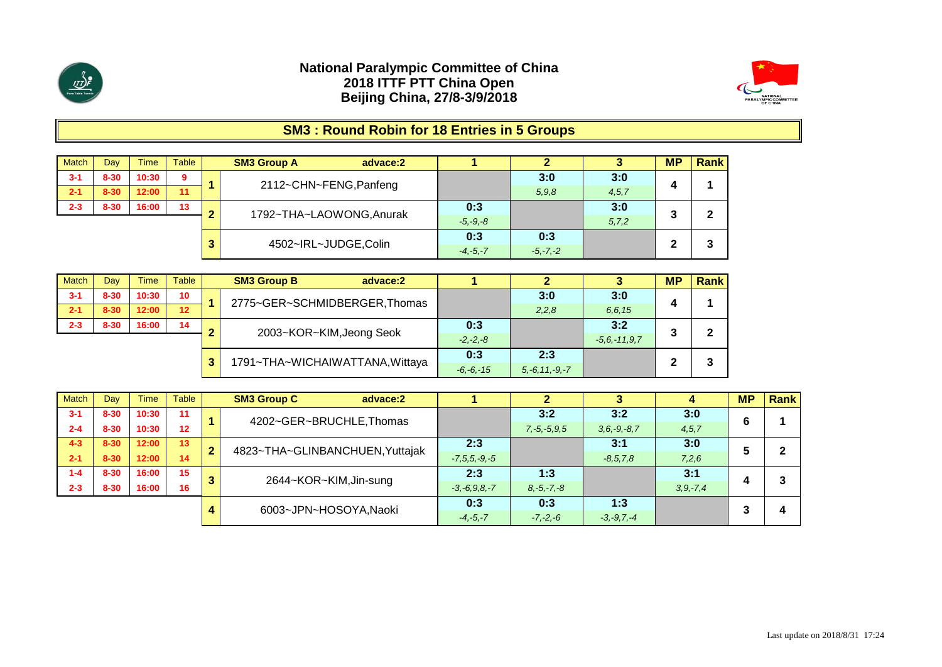



# **SM3 : Round Robin for 18 Entries in 5 Groups**

| <b>Match</b> | Day      | Time  | <b>Table</b> |   | <b>SM3 Group A</b><br>advace:2 |              |              |         | <b>MP</b> | Rank |
|--------------|----------|-------|--------------|---|--------------------------------|--------------|--------------|---------|-----------|------|
| $3 - 1$      | $8 - 30$ | 10:30 | 9            |   | 2112~CHN~FENG, Panfeng         |              | 3:0          | 3:0     |           |      |
| $2 - 1$      | $8 - 30$ | 12:00 | 11           |   |                                |              | 5,9,8        | 4, 5, 7 |           |      |
| $2 - 3$      | $8 - 30$ | 16:00 | 13           | ◠ |                                | 0:3          |              | 3:0     |           |      |
|              |          |       |              |   | 1792~THA~LAOWONG, Anurak       | $-5, -9, -8$ |              | 5, 7, 2 |           | 2    |
|              |          |       |              | ≏ | 4502~IRL~JUDGE,Colin           | 0:3          | 0:3          |         |           |      |
|              |          |       |              |   |                                | $-4, -5, -7$ | $-5, -7, -2$ |         |           | 3    |

| <b>Match</b> | Dav      | Time  | <b>Table</b>    | <b>SM3 Group B</b><br>advace:2  |               |                     |                 | <b>MP</b> | <b>Rank</b> |
|--------------|----------|-------|-----------------|---------------------------------|---------------|---------------------|-----------------|-----------|-------------|
| $3 - 1$      | $8 - 30$ | 10:30 | 10 <sup>°</sup> | 2775~GER~SCHMIDBERGER, Thomas   |               | 3:0                 | 3:0             | л         |             |
| $2 - 1$      | $8 - 30$ | 12:00 | 12              |                                 |               | 2,2,8               | 6.6.15          |           |             |
| $2 - 3$      | $8 - 30$ | 16:00 | 14              | 2003~KOR~KIM, Jeong Seok        | 0:3           |                     | 3:2             |           | 2           |
|              |          |       |                 |                                 | $-2, -2, -8$  |                     | $-5.6 - 11.9.7$ |           |             |
|              |          |       |                 | 1791~THA~WICHAIWATTANA, Wittaya | 0:3           | 2:3                 |                 |           | ິ           |
|              |          |       |                 |                                 | $-6, -6, -15$ | $5, -6, 11, -9, -7$ |                 |           | J           |

| Match   | Dav      | Time  | Table |              | <b>SM3 Group C</b><br>advace:2  |                    |                   |                   |               | <b>MP</b> | <b>Rank</b> |
|---------|----------|-------|-------|--------------|---------------------------------|--------------------|-------------------|-------------------|---------------|-----------|-------------|
| $3 - 1$ | $8 - 30$ | 10:30 | 11    |              | 4202~GER~BRUCHLE, Thomas        |                    | 3:2               | 3:2               | 3:0           | 6         |             |
| $2 - 4$ | $8 - 30$ | 10:30 | 12    |              |                                 |                    | $7, -5, -5, 9, 5$ | $3, 6, -9, -8, 7$ | 4, 5, 7       |           |             |
| $4 - 3$ | $8 - 30$ | 12:00 | 13    | $\mathbf{2}$ | 4823~THA~GLINBANCHUEN, Yuttajak | 2:3                |                   | 3:1               | 3:0           |           |             |
| $2 - 1$ | $8 - 30$ | 12:00 | 14    |              |                                 | $-7, 5, 5, -9, -5$ |                   | $-8, 5, 7, 8$     | 7,2,6         |           |             |
| $1 - 4$ | $8 - 30$ | 16:00 | 15    |              | 2644~KOR~KIM, Jin-sung          | 2:3                | 1:3               |                   | 3:1           |           |             |
| $2 - 3$ | $8 - 30$ | 16:00 | 16    |              |                                 | $-3, -6, 9, 8, -7$ | $8, -5, -7, -8$   |                   | $3, 9, -7, 4$ |           |             |
|         |          |       |       |              | 6003~JPN~HOSOYA, Naoki          | 0:3                | 0:3               | 1:3               |               |           |             |
|         |          |       |       | 4            |                                 | $-4, -5, -7$       | $-7, -2, -6$      | $-3, -9, 7, -4$   |               |           | 4           |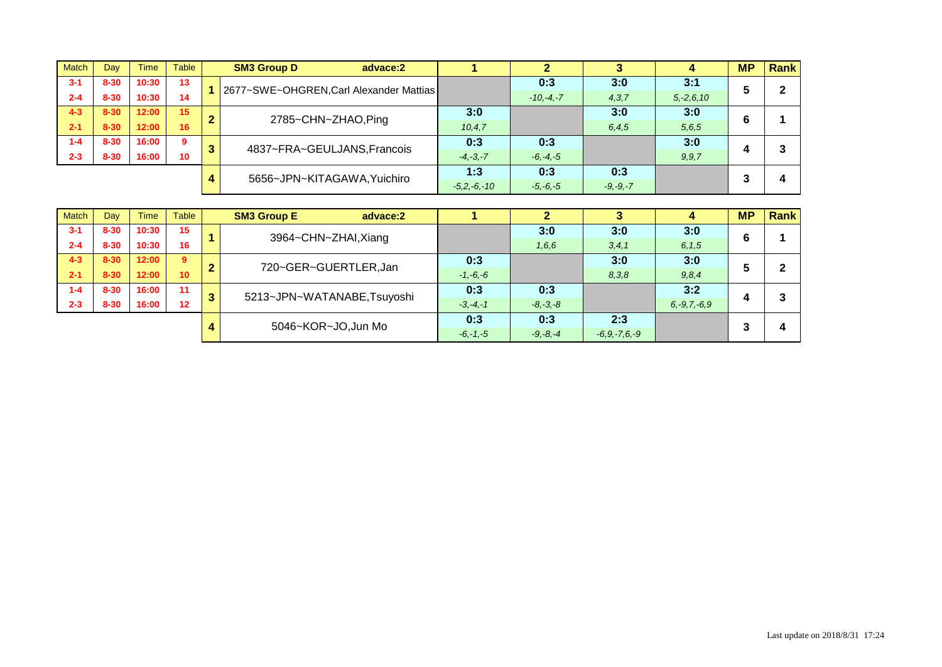| <b>Match</b> | Day      | Time  | Table        |   | <b>SM3 Group D</b><br>advace:2          |                 |               |              |                | <b>MP</b> | <b>Rank</b> |
|--------------|----------|-------|--------------|---|-----------------------------------------|-----------------|---------------|--------------|----------------|-----------|-------------|
| $3 - 1$      | $8 - 30$ | 10:30 | 13           |   | 2677~SWE~OHGREN, Carl Alexander Mattias |                 | 0:3           | 3:0          | 3:1            |           |             |
| $2 - 4$      | $8 - 30$ | 10:30 | 14           |   |                                         |                 | $-10, -4, -7$ | 4, 3, 7      | $5, -2, 6, 10$ | ю         |             |
| $4 - 3$      | $8 - 30$ | 12:00 | 15           |   | 2785~CHN~ZHAO,Ping                      | 3:0             |               | 3:0          | 3:0            | 6         |             |
| $2 - 1$      | $8 - 30$ | 12:00 | 16           |   |                                         | 10, 4, 7        |               | 6, 4, 5      | 5,6,5          |           |             |
| $1 - 4$      | $8 - 30$ | 16:00 | $\mathbf{Q}$ | 3 | 4837~FRA~GEULJANS, Francois             | 0:3             | 0:3           |              | 3:0            |           |             |
| $2 - 3$      | $8 - 30$ | 16:00 | 10           |   |                                         | $-4, -3, -7$    | $-6, -4, -5$  |              | 9, 9, 7        |           |             |
|              |          |       |              |   | 5656~JPN~KITAGAWA, Yuichiro             | 1:3             | 0:3           | 0:3          |                |           |             |
|              |          |       |              | 4 |                                         | $-5.2, -6, -10$ | $-5, -6, -5$  | $-9, -9, -7$ |                |           |             |

| <b>Match</b> | Day      | Time  | Table |                | <b>SM3 Group E</b><br>advace:2 |              |              |                    |                   | <b>MP</b> | <b>Rank</b> |
|--------------|----------|-------|-------|----------------|--------------------------------|--------------|--------------|--------------------|-------------------|-----------|-------------|
| $3 - 1$      | $8 - 30$ | 10:30 | 15    |                | 3964~CHN~ZHAI,Xiang            |              | 3:0          | 3:0                | 3:0               | 6         |             |
| $2 - 4$      | $8 - 30$ | 10:30 | 16    |                |                                |              | 1,6,6        | 3, 4, 1            | 6, 1, 5           |           |             |
| $4 - 3$      | $8 - 30$ | 12:00 | 9     | $\overline{2}$ | 720~GER~GUERTLER, Jan          | 0:3          |              | 3:0                | 3:0               |           | $\mathbf 2$ |
| $2 - 1$      | $8 - 30$ | 12:00 | 10    |                |                                | $-1, -6, -6$ |              | 8,3,8              | 9,8,4             |           |             |
| $1 - 4$      | $8 - 30$ | 16:00 | 11    | 3              | 5213~JPN~WATANABE, Tsuyoshi    | 0:3          | 0:3          |                    | 3:2               |           | າ           |
| $2 - 3$      | $8 - 30$ | 16:00 | 12    |                |                                | $-3, -4, -1$ | $-8, -3, -8$ |                    | $6, -9, 7, -6, 9$ |           | J           |
|              |          |       |       |                | 5046~KOR~JO,Jun Mo             | 0:3          | 0:3          | 2:3                |                   | ≏         |             |
|              |          |       |       | 4              |                                | $-6, -1, -5$ | $-9, -8, -4$ | $-6, 9, -7, 6, -9$ |                   | C         | 4           |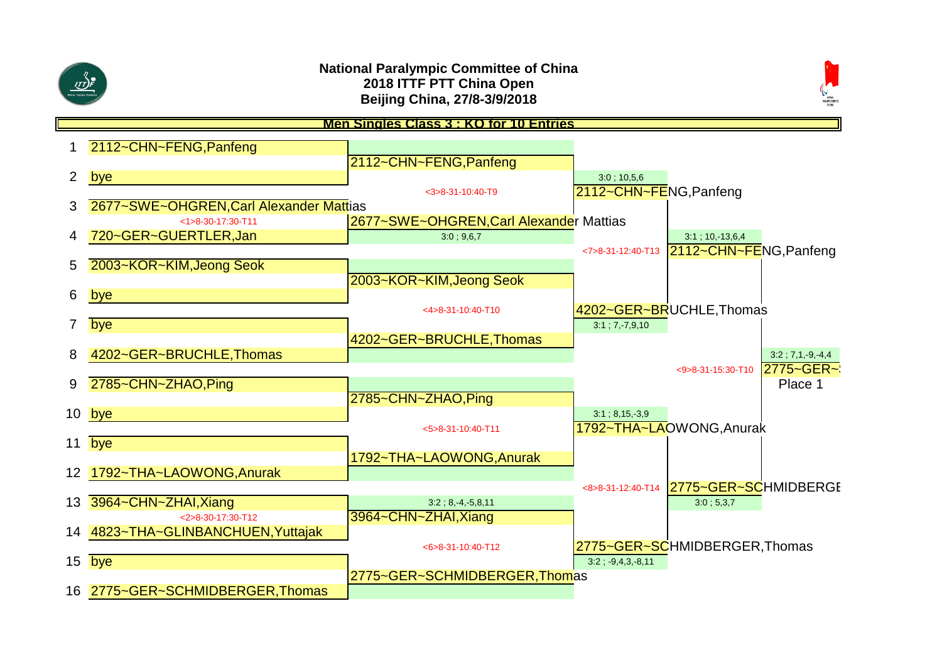



#### 1 2112~CHN~FENG,Panfeng 2112~CHN~FENG,Panfeng 2 bye 3:0 ; 10,5,6 <3>8-31-10:40-T9 2112~CHN~FENG,Panfeng 3 2677~SWE~OHGREN,Carl Alexander Mattias <1>8-30-17:30-T11 2677~SWE~OHGREN,Carl Alexander Mattias 1 720~GER~GUERTLER.Jan 3:0 ; 9,6,7 3:1 ; 10,-13,6,4 <7>8-31-12:40-T13 2112~CHN~FENG,Panfeng 5 2003~KOR~KIM,Jeong Seok 2003~KOR~KIM,Jeong Seok 6 bye <4>8-31-10:40-T10 4202~GER~BRUCHLE,Thomas 7 bye 3:1 ; 7,-7,9,10 4202~GER~BRUCHLE,Thomas 8 4202~GER~BRUCHLE,Thomas 3:2 ; 7,1,-9,-4,4 <9>8-31-15:30-T10 2775~GER~ 9 2785~CHN~ZHAO, Ping 2785~CHN~ZHAO,Ping **10 bye** 3:1 ; 8,15,-3,9 <5>8-31-10:40-T11 1792~THA~LAOWONG,Anurak 11 bye 1792~THA~LAOWONG,Anurak 12 1792~THA~LAOWONG,Anurak <8>8-31-12:40-T14 2775~GER~SCHMIDBERGE 13 3964~CHN~ZHAI, Xiang 3:2 ; 8,-4,-5,8,11 3:0 ; 5,3,7 <2>8-30-17:30-T12 3964~CHN~ZHAI,Xiang 14 4823~THA~GLINBANCHUEN,Yuttajak <6>8-31-10:40-T12 2775~GER~SCHMIDBERGER,Thomas **15 bye 3:2 ; -9,4,3,-8,11** 2775~GER~SCHMIDBERGER,Thomas 16 2775~GER~SCHMIDBERGER,Thomas **Men Singles Class 3 : KO for 10 Entries**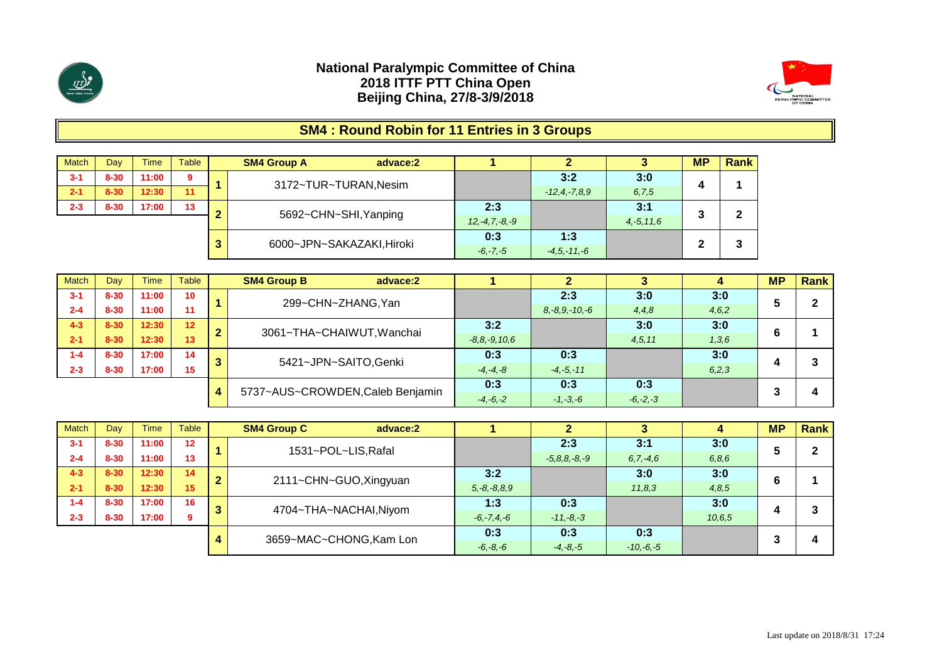



# **SM4 : Round Robin for 11 Entries in 3 Groups**

| <b>Match</b> | Day      | <b>Time</b> | Table |        | <b>SM4 Group A</b><br>advace:2 |                     |                 |                | <b>MP</b> | Rank |
|--------------|----------|-------------|-------|--------|--------------------------------|---------------------|-----------------|----------------|-----------|------|
| $3 - 1$      | $8 - 30$ | 11:00       | 9     |        | 3172~TUR~TURAN, Nesim          |                     | 3:2             | 3:0            |           |      |
| $2 - 1$      | $8 - 30$ | 12:30       | 11    |        |                                |                     | $-12.4 - 7.89$  | 6, 7, 5        |           |      |
| $2 - 3$      | $8 - 30$ | 17:00       | 13    | $\sim$ | 5692~CHN~SHI, Yanping          | 2:3                 |                 | 3:1            |           | 2    |
|              |          |             |       |        |                                | $12, -4, 7, -8, -9$ |                 | $4, -5, 11, 6$ |           |      |
|              |          |             |       | ≏      | 6000~JPN~SAKAZAKI, Hiroki      | 0:3                 | 1:3             |                |           | 3    |
|              |          |             |       | J.     |                                | $-6, -7, -5$        | $-4.5 - 11 - 6$ |                |           |      |

| <b>Match</b> | Dav      | <b>Time</b> | <b>Table</b> |    | <b>SM4 Group B</b><br>advace:2   |                    |                     |              |         | <b>MP</b> | <b>Rank</b> |
|--------------|----------|-------------|--------------|----|----------------------------------|--------------------|---------------------|--------------|---------|-----------|-------------|
| $3 - 1$      | $8 - 30$ | 11:00       | 10           |    | 299~CHN~ZHANG, Yan               |                    | 2:3                 | 3:0          | 3:0     |           | ົ           |
| $2 - 4$      | $8 - 30$ | 11:00       | 11           |    |                                  |                    | $8, -8, 9, -10, -6$ | 4,4,8        | 4,6,2   |           |             |
| $4 - 3$      | $8 - 30$ | 12:30       | 12           | п. | 3061~THA~CHAIWUT, Wanchai        | 3:2                |                     | 3:0          | 3:0     |           |             |
| $2 - 1$      | $8 - 30$ | 12:30       | 13           |    |                                  | $-8, 8, -9, 10, 6$ |                     | 4,5,11       | 1,3,6   |           |             |
| $1 - 4$      | $8 - 30$ | 17:00       | 14           | ≏  | 5421~JPN~SAITO, Genki            | 0:3                | 0:3                 |              | 3:0     |           |             |
| $2 - 3$      | $8 - 30$ | 17:00       | 15           |    |                                  | $-4, -4, -8$       | $-4, -5, -11$       |              | 6, 2, 3 |           |             |
|              |          |             |              |    | 5737~AUS~CROWDEN, Caleb Benjamin | 0:3                | 0:3                 | 0:3          |         |           |             |
|              |          |             |              |    |                                  | $-4, -6, -2$       | $-1, -3, -6$        | $-6, -2, -3$ |         |           | Δ           |

| <b>Match</b> | Dav      | <b>Time</b> | <b>Table</b>    | <b>SM4 Group C</b><br>advace:2 |                   |                    |               |          | <b>MP</b> | <b>Rank</b> |
|--------------|----------|-------------|-----------------|--------------------------------|-------------------|--------------------|---------------|----------|-----------|-------------|
| $3 - 1$      | $8 - 30$ | 11:00       | 12              | 1531~POL~LIS, Rafal            |                   | 2:3                | 3:1           | 3:0      | 5         |             |
| $2 - 4$      | $8 - 30$ | 11:00       | 13              |                                |                   | $-5, 8, 8, -8, -9$ | $6, 7, -4, 6$ | 6, 8, 6  |           |             |
| $4 - 3$      | $8 - 30$ | 12:30       | 14              | 2111~CHN~GUO, Xingyuan         | 3:2               |                    | 3:0           | 3:0      | 6         |             |
| $2 - 1$      | $8 - 30$ | 12:30       | 15 <sup>1</sup> |                                | $5, -8, -8, 8, 9$ |                    | 11,8,3        | 4,8,5    |           |             |
| $1 - 4$      | $8 - 30$ | 17:00       | 16              | 4704~THA~NACHAI, Niyom         | 1:3               | 0:3                |               | 3:0      |           |             |
| $2 - 3$      | $8 - 30$ | 17:00       | 9.              |                                | $-6, -7, 4, -6$   | $-11, -8, -3$      |               | 10, 6, 5 |           |             |
|              |          |             |                 |                                | 0:3               | 0:3                | 0:3           |          |           |             |
|              |          |             |                 | 3659~MAC~CHONG, Kam Lon        | $-6, -8, -6$      | $-4, -8, -5$       | $-10,-6,-5$   |          |           |             |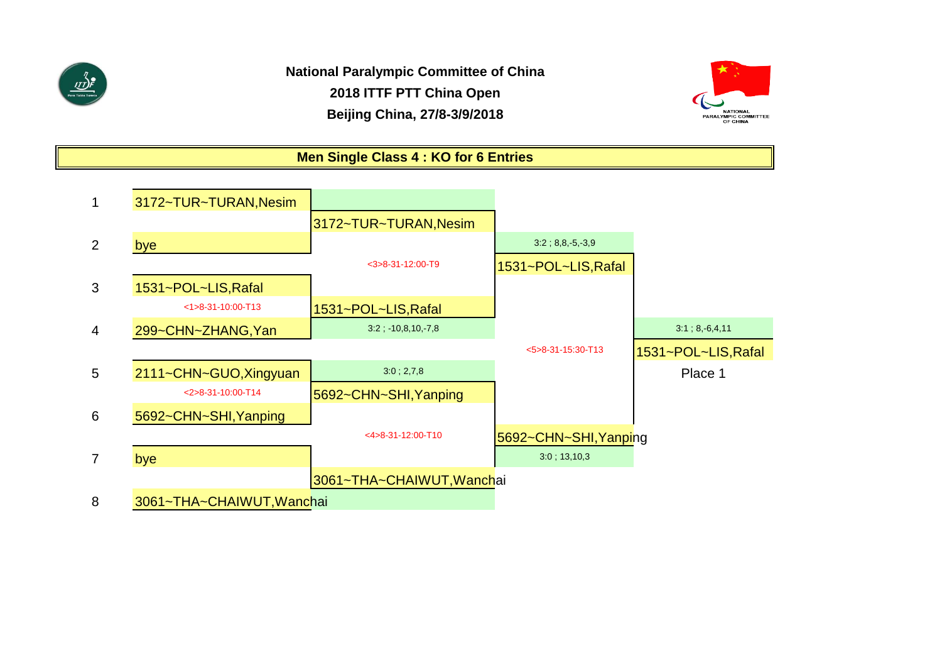



**Men Single Class 4 : KO for 6 Entries**

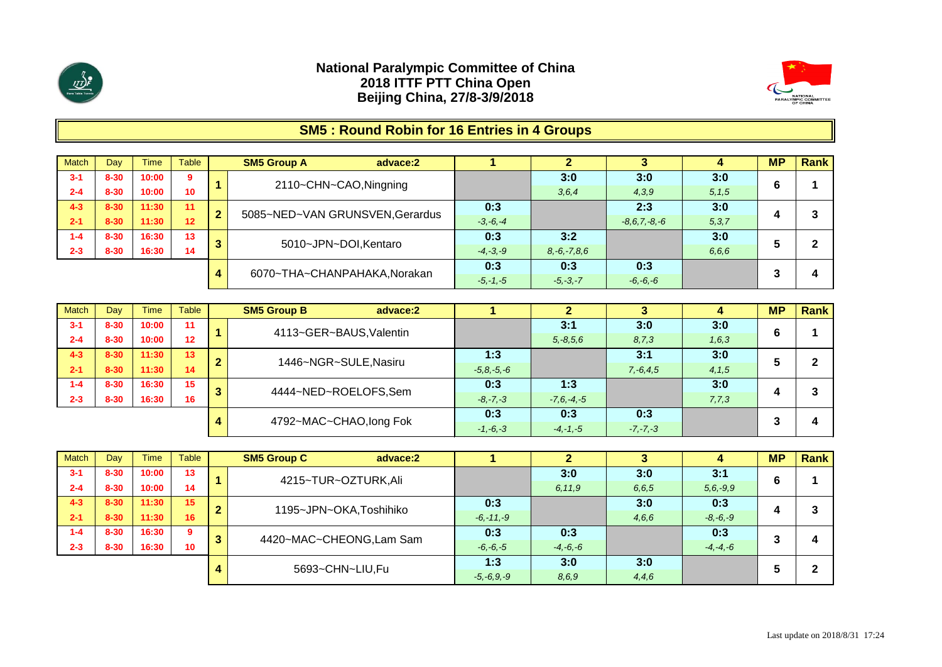



# **SM5 : Round Robin for 16 Entries in 4 Groups**

| <b>Match</b> | Dav      | Time  | <b>Table</b> |   | <b>SM5 Group A</b><br>advace:2  |              |                   |                    |         | <b>MP</b> | <b>Rank</b> |
|--------------|----------|-------|--------------|---|---------------------------------|--------------|-------------------|--------------------|---------|-----------|-------------|
| $3 - 1$      | $8 - 30$ | 10:00 | 9            |   | 2110~CHN~CAO, Ningning          |              | 3:0               | 3:0                | 3:0     |           |             |
| $2 - 4$      | $8 - 30$ | 10:00 | 10           |   |                                 |              | 3, 6, 4           | 4,3,9              | 5, 1, 5 |           |             |
| $4 - 3$      | $8 - 30$ | 11:30 | 11           | 2 | 5085~NED~VAN GRUNSVEN, Gerardus | 0:3          |                   | 2:3                | 3:0     |           |             |
| $2 - 1$      | $8 - 30$ | 11:30 | 12           |   |                                 | $-3, -6, -4$ |                   | $-8, 6, 7, -8, -6$ | 5, 3, 7 |           |             |
| $1 - 4$      | $8 - 30$ | 16:30 | 13           |   | 5010~JPN~DOI, Kentaro           | 0:3          | 3:2               |                    | 3:0     |           |             |
| $2 - 3$      | $8 - 30$ | 16:30 | 14           |   |                                 | $-4, -3, -9$ | $8, -6, -7, 8, 6$ |                    | 6.6.6   |           |             |
|              |          |       |              |   | 6070~THA~CHANPAHAKA, Norakan    | 0:3          | 0:3               | 0:3                |         |           |             |
|              |          |       |              | 4 |                                 | $-5, -1, -5$ | $-5, -3, -7$      | $-6, -6, -6$       |         |           | 4           |

| <b>Match</b> | Dav      | <b>Time</b> | Table |   | <b>SM5 Group B</b><br>advace:2 |                 |                 |               |         | <b>MP</b> | Rank |
|--------------|----------|-------------|-------|---|--------------------------------|-----------------|-----------------|---------------|---------|-----------|------|
| $3 - 1$      | $8 - 30$ | 10:00       | 11    |   | 4113~GER~BAUS, Valentin        |                 | 3:1             | 3:0           | 3:0     | 6         |      |
| $2 - 4$      | $8 - 30$ | 10:00       | 12    |   |                                |                 | $5, -8, 5, 6$   | 8,7,3         | 1, 6, 3 |           |      |
| $4 - 3$      | $8 - 30$ | 11:30       | 13    | ◠ | 1446~NGR~SULE, Nasiru          | 1:3             |                 | 3:1           | 3:0     |           |      |
| $2 - 1$      | $8 - 30$ | 11:30       | 14    |   |                                | $-5, 8, -5, -6$ |                 | $7, -6, 4, 5$ | 4, 1, 5 |           |      |
| $1 - 4$      | $8 - 30$ | 16:30       | 15    | 2 | 4444~NED~ROELOFS,Sem           | 0:3             | 1:3             |               | 3:0     |           |      |
| $2 - 3$      | $8 - 30$ | 16:30       | 16    |   |                                | $-8, -7, -3$    | $-7, 6, -4, -5$ |               | 7,7,3   |           |      |
|              |          |             |       |   | 4792~MAC~CHAO, long Fok        | 0:3             | 0:3             | 0:3           |         |           |      |
|              |          |             |       |   |                                | $-1, -6, -3$    | $-4, -1, -5$    | $-7, -7, -3$  |         |           |      |

| <b>Match</b> | Day      | <b>Time</b> | Table           |                | <b>SM5 Group C</b><br>advace:2 |                 |              |         |               | <b>MP</b>  | Rank |
|--------------|----------|-------------|-----------------|----------------|--------------------------------|-----------------|--------------|---------|---------------|------------|------|
| $3 - 1$      | $8 - 30$ | 10:00       | 13              |                | 4215~TUR~OZTURK, Ali           |                 | 3:0          | 3:0     | 3:1           |            |      |
| $2 - 4$      | $8 - 30$ | 10:00       | 14              |                |                                |                 | 6,11,9       | 6, 6, 5 | $5, 6, -9, 9$ | b          |      |
| $4 - 3$      | $8 - 30$ | 11:30       | 15              | $\overline{2}$ | 1195~JPN~OKA,Toshihiko         | 0:3             |              | 3:0     | 0:3           | $\epsilon$ |      |
| $2 - 1$      | $8 - 30$ | 11:30       | 16              |                |                                | $-6, -11, -9$   |              | 4,6,6   | $-8, -6, -9$  |            |      |
| $1 - 4$      | $8 - 30$ | 16:30       | 9               | 3              | 4420~MAC~CHEONG,Lam Sam        | 0:3             | 0:3          |         | 0:3           |            |      |
| $2 - 3$      | $8 - 30$ | 16:30       | 10 <sup>°</sup> |                |                                | $-6, -6, -5$    | $-4, -6, -6$ |         | $-4, -4, -6$  | -5         |      |
|              |          |             |                 |                | 5693~CHN~LIU,Fu                | 1:3             | 3:0          | 3:0     |               |            |      |
|              |          |             |                 | 4              |                                | $-5, -6, 9, -9$ | 8, 6, 9      | 4,4,6   |               | э          |      |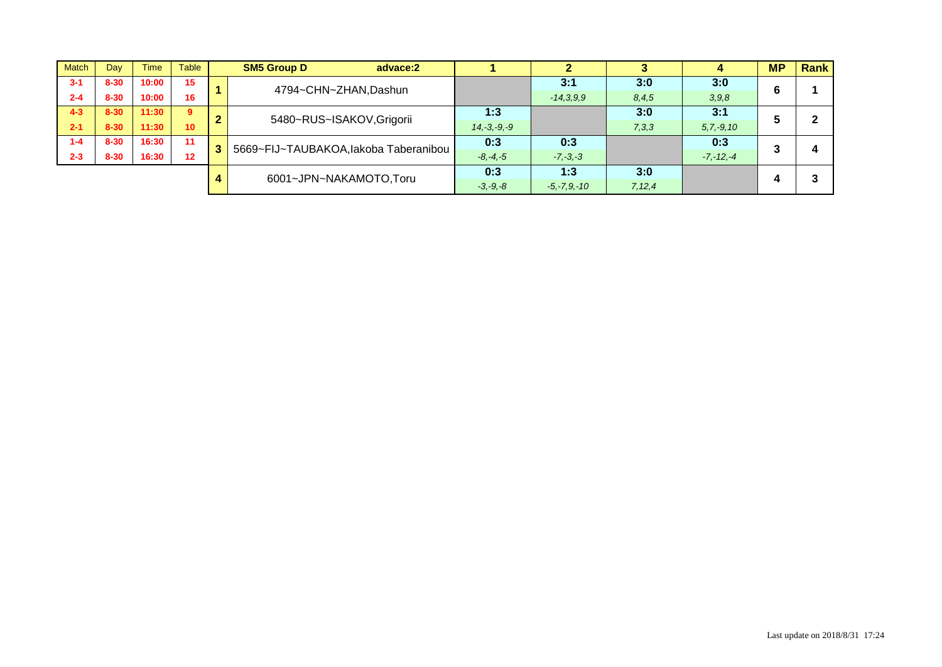| <b>Match</b> | Day      | Time  | <b>Table</b>    |   | <b>SM5 Group D</b><br>advace:2        |                  |                  |          | л              | <b>MP</b> | <b>Rank</b> |
|--------------|----------|-------|-----------------|---|---------------------------------------|------------------|------------------|----------|----------------|-----------|-------------|
| $3 - 1$      | $8 - 30$ | 10:00 | 15              |   | 4794~CHN~ZHAN, Dashun                 |                  | 3:1              | 3:0      | 3:0            | 6         |             |
| $2 - 4$      | $8 - 30$ | 10:00 | 16              |   |                                       |                  | $-14,3,9,9$      | 8,4,5    | 3,9,8          |           |             |
| $4 - 3$      | $8 - 30$ | 11:30 | 9               | ◠ | 5480~RUS~ISAKOV, Grigorii             | 1:3              |                  | 3:0      | 3:1            |           |             |
| $2 - 1$      | $8 - 30$ | 11:30 | 10 <sup>1</sup> |   |                                       | $14, -3, -9, -9$ |                  | 7,3,3    | $5, 7, -9, 10$ |           |             |
| $1 - 4$      | $8 - 30$ | 16:30 | 11              | 3 | 5669~FIJ~TAUBAKOA, lakoba Taberanibou | 0:3              | 0:3              |          | 0:3            | 3         |             |
| $2 - 3$      | $8 - 30$ | 16:30 | 12              |   |                                       | $-8, -4, -5$     | $-7, -3, -3$     |          | $-7, -12, -4$  |           |             |
|              |          |       |                 |   | 6001~JPN~NAKAMOTO,Toru                | 0:3              | 1:3              | 3:0      |                |           |             |
|              |          |       |                 |   |                                       | $-3, -9, -8$     | $-5, -7, 9, -10$ | 7, 12, 4 |                |           |             |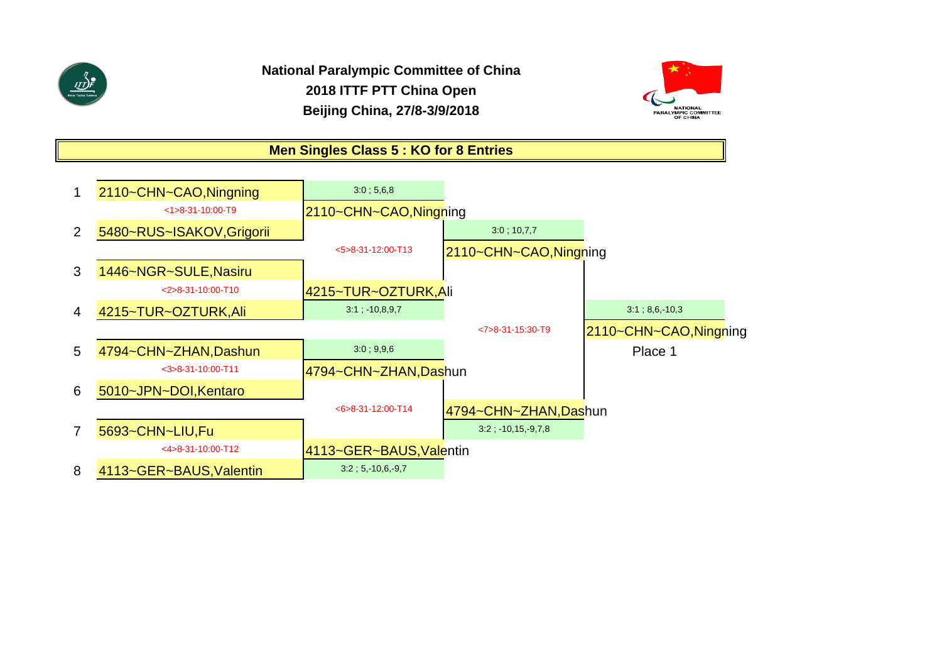



### **Men Singles Class 5 : KO for 8 Entries**

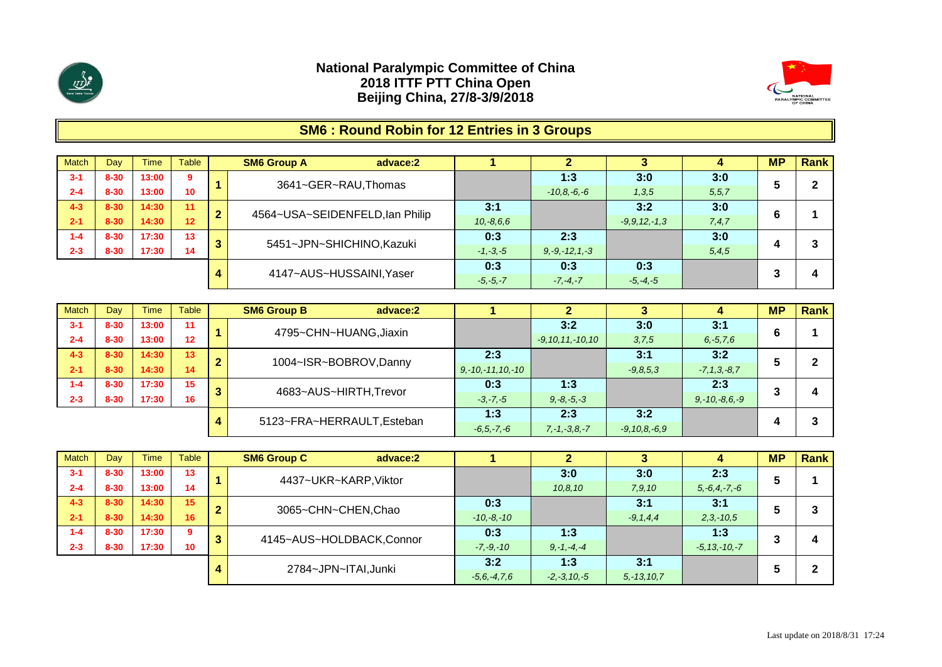



# **SM6 : Round Robin for 12 Entries in 3 Groups**

| <b>Match</b> | Day      | Гіmе  | Table |   | <b>SM6 Group A</b><br>advace:2  |              |                     |                 |         | <b>MP</b> | <b>Rank</b> |
|--------------|----------|-------|-------|---|---------------------------------|--------------|---------------------|-----------------|---------|-----------|-------------|
| $3 - 1$      | $8 - 30$ | 13:00 | 9     |   | 3641~GER~RAU, Thomas            |              | 1:3                 | 3:0             | 3:0     |           | ົ           |
| $2 - 4$      | $8 - 30$ | 13:00 | 10    |   |                                 |              | $-10, 8, -6, -6$    | 1,3,5           | 5, 5, 7 | э         |             |
| $4 - 3$      | $8 - 30$ | 14:30 | 11    | ◠ | 4564~USA~SEIDENFELD, Ian Philip | 3:1          |                     | 3:2             | 3:0     |           |             |
| $2 - 1$      | $8 - 30$ | 14:30 | 12    | L |                                 | $10,-8,6,6$  |                     | $-9.9.12 - 1.3$ | 7,4,7   |           |             |
| $1 - 4$      | $8 - 30$ | 17:30 | 13    | ≏ | 5451~JPN~SHICHINO, Kazuki       | 0:3          | 2:3                 |                 | 3:0     |           |             |
| $2 - 3$      | $8 - 30$ | 17:30 | 14    | o |                                 | $-1, -3, -5$ | $9, -9, -12, 1, -3$ |                 | 5, 4, 5 |           |             |
|              |          |       |       |   | 4147~AUS~HUSSAINI, Yaser        | 0:3          | 0:3                 | 0:3             |         |           |             |
|              |          |       |       | 4 |                                 | $-5, -5, -7$ | $-7, -4, -7$        | $-5, -4, -5$    |         |           | 4           |

| <b>Match</b> | Dav      | <b>Time</b> | Table |   | <b>SM6 Group B</b><br>advace:2 |                        |                       |                    |                     | <b>MP</b> | Rank |
|--------------|----------|-------------|-------|---|--------------------------------|------------------------|-----------------------|--------------------|---------------------|-----------|------|
| $3 - 1$      | $8 - 30$ | 13:00       | 11    |   | 4795~CHN~HUANG, Jiaxin         |                        | 3:2                   | 3:0                | 3:1                 | 6         |      |
| $2 - 4$      | $8 - 30$ | 13:00       | 12    |   |                                |                        | $-9, 10, 11, -10, 10$ | 3,7,5              | $6, -5, 7, 6$       |           |      |
| $4 - 3$      | $8 - 30$ | 14:30       | 13    | 2 | 1004~ISR~BOBROV, Danny         | 2:3                    |                       | 3:1                | 3:2                 |           |      |
| $2 - 1$      | $8 - 30$ | 14:30       | 14    |   |                                | $9, -10, -11, 10, -10$ |                       | $-9.8.5.3$         | $-7, 1, 3, -8, 7$   |           |      |
| $1 - 4$      | $8 - 30$ | 17:30       | 15    | 3 | 4683~AUS~HIRTH, Trevor         | 0:3                    | 1:3                   |                    | 2:3                 | 3         |      |
| $2 - 3$      | $8 - 30$ | 17:30       | 16    |   |                                | $-3, -7, -5$           | $9, -8, -5, -3$       |                    | $9, -10, -8, 6, -9$ |           |      |
|              |          |             |       |   | 5123~FRA~HERRAULT, Esteban     | 1:3                    | 2:3                   | 3:2                |                     |           |      |
|              |          |             |       | 4 |                                | $-6, 5, -7, -6$        | $7, -1, -3, 8, -7$    | $-9, 10, 8, -6, 9$ |                     |           |      |

| <b>Match</b> | Dav      | <b>Time</b> | Table           |                | <b>SM6 Group C</b><br>advace:2 |                |                  |                 |                    | <b>MP</b> | Rank |
|--------------|----------|-------------|-----------------|----------------|--------------------------------|----------------|------------------|-----------------|--------------------|-----------|------|
| $3 - 1$      | $8 - 30$ | 13:00       | 13              |                | 4437~UKR~KARP, Viktor          |                | 3:0              | 3:0             | 2:3                |           |      |
| $2 - 4$      | $8 - 30$ | 13:00       | 14              |                |                                |                | 10.8, 10         | 7,9,10          | $5, -6, 4, -7, -6$ | э         |      |
| $4 - 3$      | $8 - 30$ | 14:30       | 15              | $\overline{2}$ | 3065~CHN~CHEN, Chao            | 0:3            |                  | 3:1             | 3:1                |           |      |
| $2 - 1$      | $8 - 30$ | 14:30       | 16              |                |                                | $-10, -8, -10$ |                  | $-9, 1, 4, 4$   | $2,3,-10,5$        |           |      |
| $1 - 4$      | $8 - 30$ | 17:30       | 9               | 3              | 4145~AUS~HOLDBACK,Connor       | 0:3            | 1:3              |                 | 1:3                |           |      |
| $2 - 3$      | $8 - 30$ | 17:30       | 10 <sup>°</sup> |                |                                | $-7, -9, -10$  | $9, -1, -4, -4$  |                 | $-5, 13, -10, -7$  | w         |      |
|              |          |             |                 |                | 2784~JPN~ITAI, Junki           | 3:2            | 1:3              | 3:1             |                    |           |      |
|              |          |             |                 | 4              |                                | $-5.6 - 4.7.6$ | $-2, -3, 10, -5$ | $5, -13, 10, 7$ |                    | ÷         |      |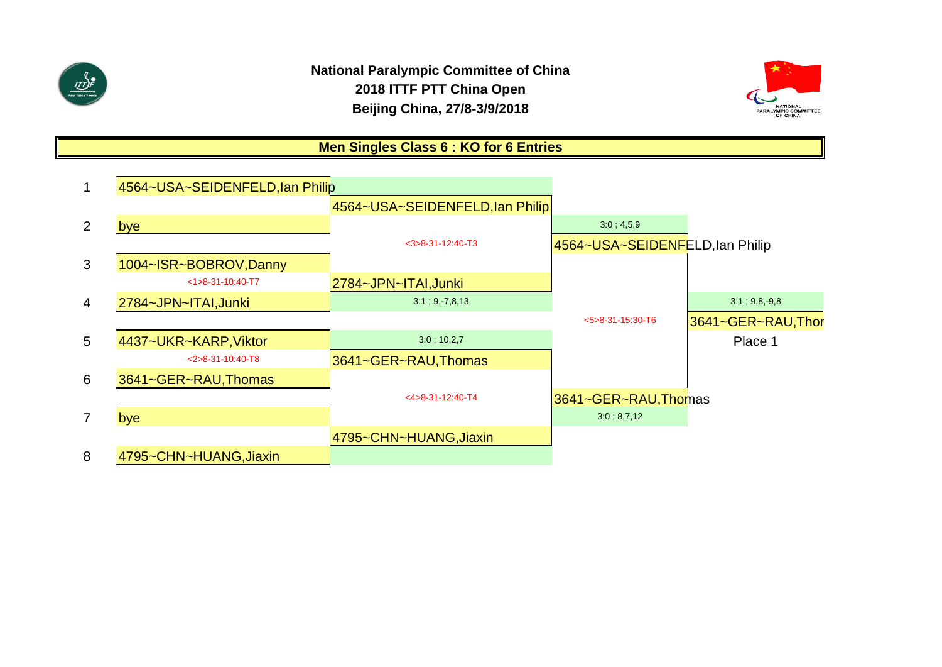

# **National Paralympic Committee of China 2018 ITTF PTT China Open Beijing China, 27/8-3/9/2018**



# **Men Singles Class 6 : KO for 6 Entries**

|                | 4564~USA~SEIDENFELD, Ian Philip |                                 |                                 |                   |
|----------------|---------------------------------|---------------------------------|---------------------------------|-------------------|
|                |                                 | 4564~USA~SEIDENFELD, Ian Philip |                                 |                   |
| 2              | bye                             |                                 | 3.0; 4.5, 9                     |                   |
|                |                                 | $<$ 3>8-31-12:40-T3             | 4564~USA~SEIDENFELD, Ian Philip |                   |
| 3              | 1004~ISR~BOBROV, Danny          |                                 |                                 |                   |
|                | $<1>8-31-10:40-T7$              | 2784~JPN~ITAI,Junki             |                                 |                   |
| $\overline{4}$ | 2784~JPN~ITAI, Junki            | $3:1$ ; 9, 7,8,13               |                                 | 3:1; 9,8,9,8      |
|                |                                 |                                 | $5 > 8 - 31 - 15:30 - T6$       | 3641~GER~RAU,Thor |
| 5              | 4437~UKR~KARP, Viktor           | $3:0$ ; 10,2,7                  |                                 | Place 1           |
|                | $<$ 2>8-31-10:40-T8             | 3641~GER~RAU, Thomas            |                                 |                   |
| 6              | 3641~GER~RAU, Thomas            |                                 |                                 |                   |
|                |                                 | $<$ 4>8-31-12:40-T4             | 3641~GER~RAU, Thomas            |                   |
| $\overline{7}$ | bye                             |                                 | 3:0; 8,7,12                     |                   |
|                |                                 | 4795~CHN~HUANG,Jiaxin           |                                 |                   |
| 8              | 4795~CHN~HUANG, Jiaxin          |                                 |                                 |                   |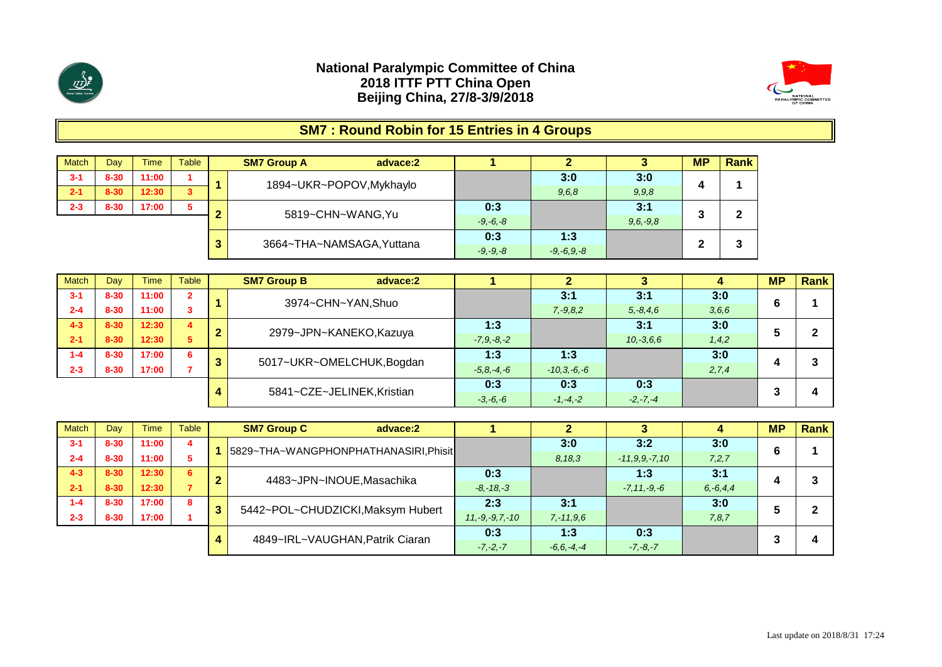



# **SM7 : Round Robin for 15 Entries in 4 Groups**

| <b>Match</b> | Dav      | <b>Time</b> | Table |   | <b>SM7 Group A</b>        | advace:2 |              |                 |            | <b>MP</b> | Rank |
|--------------|----------|-------------|-------|---|---------------------------|----------|--------------|-----------------|------------|-----------|------|
| $3 - 1$      | $8 - 30$ | 11:00       |       |   | 1894~UKR~POPOV, Mykhaylo  |          |              | 3:0             | 3:0        |           |      |
| $2 - 1$      | $8 - 30$ | 12:30       | 3     |   |                           |          |              | 9,6,8           | 9, 9, 8    |           |      |
| $2 - 3$      | $8 - 30$ | 17:00       |       |   | 5819~CHN~WANG, Yu         |          | 0:3          |                 | 3:1        |           | 2    |
|              |          |             |       |   |                           |          | $-9, -6, -8$ |                 | $9,6,-9,8$ |           | -    |
|              |          |             |       | 3 | 3664~THA~NAMSAGA, Yuttana |          | 0:3          | 1:3             |            | ◠         | ◠    |
|              |          |             |       |   |                           |          | $-9, -9, -8$ | $-9, -6, 9, -8$ |            |           | J    |

| <b>Match</b> | Dav      | <b>Time</b> | <b>Table</b>            |    | <b>SM7 Group B</b><br>advace:2 |                 |                  |               |       | <b>MP</b> | <b>Rank</b> |
|--------------|----------|-------------|-------------------------|----|--------------------------------|-----------------|------------------|---------------|-------|-----------|-------------|
| $3 - 1$      | $8 - 30$ | 11:00       | $\overline{2}$          |    | 3974~CHN~YAN, Shuo             |                 | 3:1              | 3:1           | 3:0   | ◠         |             |
| $2 - 4$      | $8 - 30$ | 11:00       |                         |    |                                |                 | $7, -9, 8, 2$    | $5, -8, 4, 6$ | 3,6,6 |           |             |
| $4 - 3$      | $8 - 30$ | 12:30       | $\overline{\mathbf{4}}$ | ◠  | 2979~JPN~KANEKO, Kazuya        | 1:3             |                  | 3:1           | 3:0   |           |             |
| $2 - 1$      | $8 - 30$ | 12:30       | 5                       |    |                                | $-7, 9, -8, -2$ |                  | $10,-3,6,6$   | 1,4,2 |           |             |
| $1 - 4$      | $8 - 30$ | 17:00       | 6                       |    | 5017~UKR~OMELCHUK, Bogdan      | 1:3             | 1:3              |               | 3:0   |           |             |
| $2 - 3$      | $8 - 30$ | 17:00       |                         | a. |                                | $-5, 8, -4, -6$ | $-10, 3, -6, -6$ |               | 2,7,4 |           |             |
|              |          |             |                         |    | 5841~CZE~JELINEK, Kristian     | 0:3             | 0:3              | 0:3           |       |           |             |
|              |          |             |                         |    |                                | $-3, -6, -6$    | $-1, -4, -2$     | $-2, -7, -4$  |       |           | 4           |

| <b>Match</b> | Day      | <b>Time</b> | Table |   | <b>SM7 Group C</b><br>advace:2        |                      |                 |                     |               | <b>MP</b> | <b>Rank</b> |
|--------------|----------|-------------|-------|---|---------------------------------------|----------------------|-----------------|---------------------|---------------|-----------|-------------|
| $3 - 1$      | $8 - 30$ | 11:00       | 4     |   | 5829~THA~WANGPHONPHATHANASIRI, Phisit |                      | 3:0             | 3:2                 | 3:0           | 6         |             |
| $2 - 4$      | $8 - 30$ | 11:00       |       |   |                                       |                      | 8.18.3          | $-11, 9, 9, -7, 10$ | 7,2,7         |           |             |
| $4 - 3$      | $8 - 30$ | 12:30       | 6     | ≏ | 4483~JPN~INOUE, Masachika             | 0:3                  |                 | 1:3                 | 3:1           |           |             |
| $2 - 1$      | $8 - 30$ | 12:30       |       |   |                                       | $-8, -18, -3$        |                 | $-7, 11, -9, -6$    | $6, -6, 4, 4$ |           |             |
| $1 - 4$      | $8 - 30$ | 17:00       | 8     | 3 | 5442~POL~CHUDZICKI, Maksym Hubert     | 2:3                  | 3:1             |                     | 3:0           |           |             |
| $2 - 3$      | $8 - 30$ | 17:00       |       |   |                                       | $11, -9, -9, 7, -10$ | $7, -11, 9, 6$  |                     | 7,8,7         |           |             |
|              |          |             |       |   | 4849~IRL~VAUGHAN, Patrik Ciaran       | 0:3                  | 1:3             | 0:3                 |               |           |             |
|              |          |             |       |   |                                       | $-7, -2, -7$         | $-6, 6, -4, -4$ | $-7, -8, -7$        |               |           |             |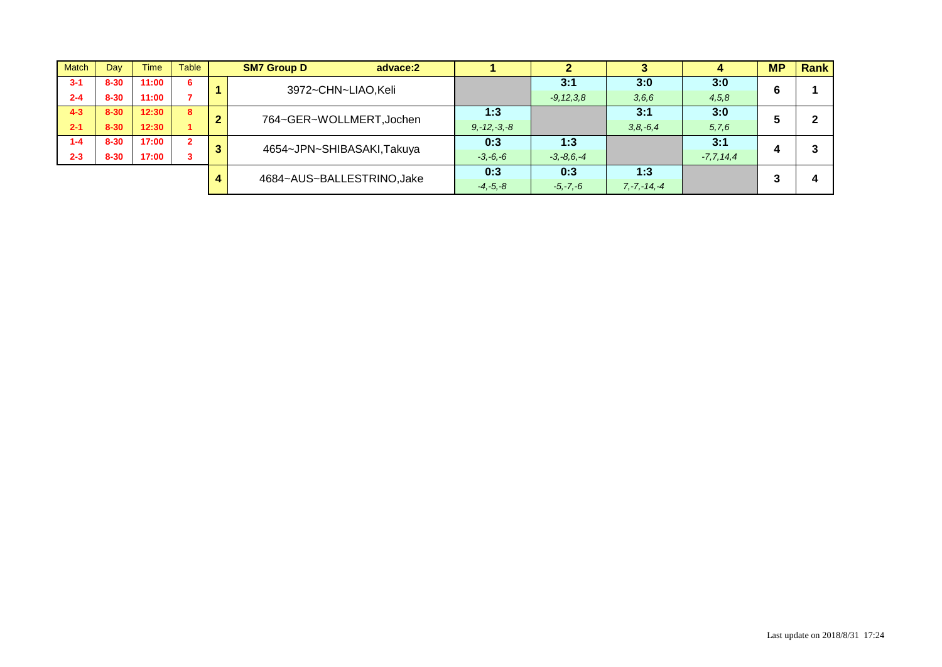| <b>Match</b> | Day      | <b>Time</b> | <b>Table</b>   |   | <b>SM7 Group D</b><br>advace:2 |                  |                 |                  |                | <b>MP</b> | <b>Rank</b> |
|--------------|----------|-------------|----------------|---|--------------------------------|------------------|-----------------|------------------|----------------|-----------|-------------|
| $3 - 1$      | $8 - 30$ | 11:00       | -6             |   | 3972~CHN~LIAO,Keli             |                  | 3:1             | 3:0              | 3:0            | 6         |             |
| $2 - 4$      | $8 - 30$ | 11:00       |                |   |                                |                  | $-9, 12, 3, 8$  | 3,6,6            | 4,5,8          |           |             |
| $4 - 3$      | $8 - 30$ | 12:30       | 8              | ◠ | 764~GER~WOLLMERT, Jochen       | 1:3              |                 | 3:1              | 3:0            |           |             |
| $2 - 1$      | $8 - 30$ | 12:30       |                |   |                                | $9, -12, -3, -8$ |                 | $3, 8, -6, 4$    | 5,7,6          | Ð         |             |
| $1 - 4$      | $8 - 30$ | 17:00       | $\overline{2}$ | 3 | 4654~JPN~SHIBASAKI,Takuya      | 0:3              | 1:3             |                  | 3:1            |           |             |
| $2 - 3$      | $8 - 30$ | 17:00       |                |   |                                | $-3, -6, -6$     | $-3, -8, 6, -4$ |                  | $-7, 7, 14, 4$ |           |             |
|              |          |             |                |   | 4684~AUS~BALLESTRINO, Jake     | 0:3              | 0:3             | 1:3              |                |           |             |
|              |          |             |                |   |                                | $-4, -5, -8$     | $-5, -7, -6$    | $7, -7, -14, -4$ |                |           |             |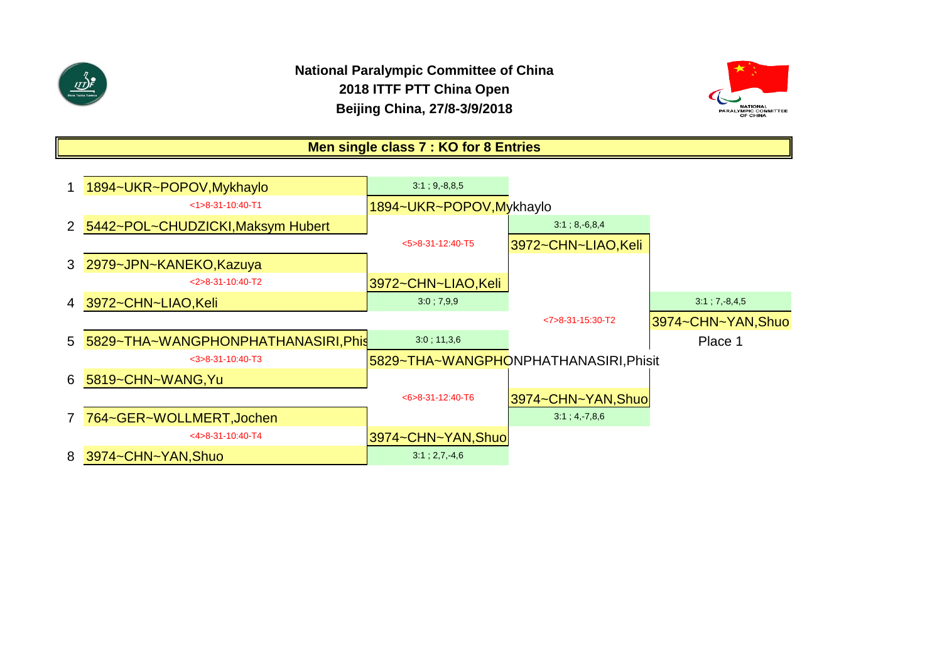



**Men single class 7 : KO for 8 Entries**

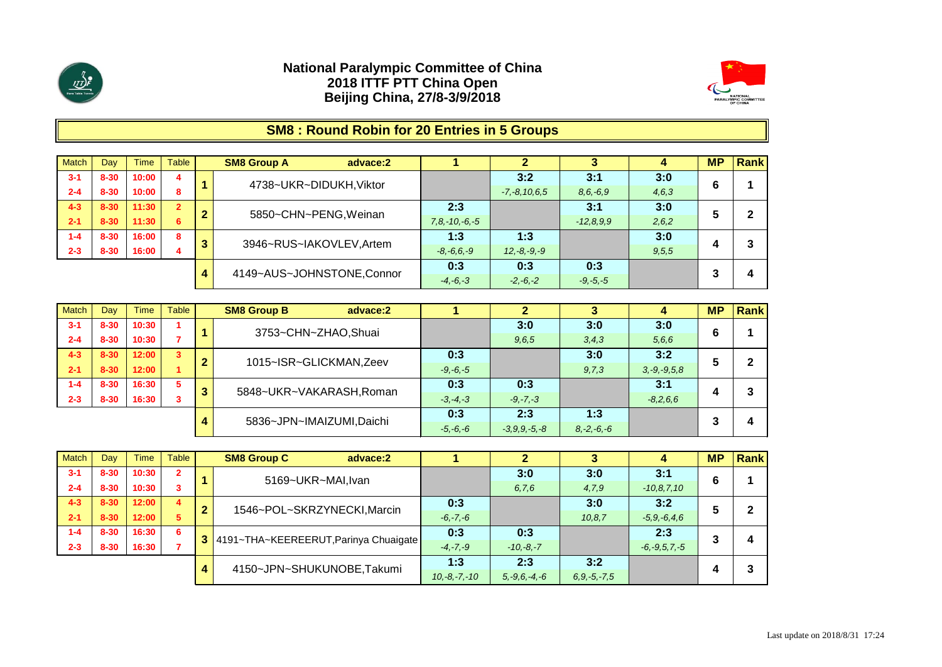



# **SM8 : Round Robin for 20 Entries in 5 Groups**

| <b>Match</b> | Dav      | Time  | Table          |   | <b>SM8 Group A</b><br>advace:2 |                     |                    |               |       | <b>MP</b> | <b>Rank</b> |
|--------------|----------|-------|----------------|---|--------------------------------|---------------------|--------------------|---------------|-------|-----------|-------------|
| $3 - 1$      | $8 - 30$ | 10:00 | 4              |   | 4738~UKR~DIDUKH, Viktor        |                     | 3:2                | 3:1           | 3:0   | 6         |             |
| $2 - 4$      | $8 - 30$ | 10:00 | 8.             |   |                                |                     | $-7, -8, 10, 6, 5$ | $8, 6, -6, 9$ | 4,6,3 |           |             |
| $4 - 3$      | $8 - 30$ | 11:30 | $\overline{2}$ | m | 5850~CHN~PENG, Weinan          | 2:3                 |                    | 3:1           | 3:0   |           |             |
| $2 - 1$      | $8 - 30$ | 11:30 | 6              |   |                                | $7, 8, -10, -6, -5$ |                    | $-12,8.9.9$   | 2,6,2 |           |             |
| $1 - 4$      | $8 - 30$ | 16:00 | 8              | ≏ | 3946~RUS~IAKOVLEV, Artem       | 1:3                 | 1:3                |               | 3:0   |           |             |
| $2 - 3$      | $8 - 30$ | 16:00 |                | c |                                | $-8, -6, 6, -9$     | $12, -8, -9, -9$   |               | 9,5,5 |           |             |
|              |          |       |                |   |                                | 0:3                 | 0:3                | 0:3           |       |           |             |
|              |          |       |                | 4 | 4149~AUS~JOHNSTONE,Connor      | $-4, -6, -3$        | $-2, -6, -2$       | $-9, -5, -5$  |       |           | 4           |

| <b>Match</b> | Day      | <b>Time</b> | Table |                               | <b>SM8 Group B</b><br>advace:2 |                |                 |         |                   | <b>MP</b> | Rank |
|--------------|----------|-------------|-------|-------------------------------|--------------------------------|----------------|-----------------|---------|-------------------|-----------|------|
| $3 - 1$      | 8-30     | 10:30       |       |                               | 3753~CHN~ZHAO,Shuai            |                | 3:0             | 3:0     | 3:0               |           |      |
| $2 - 4$      | $8 - 30$ | 10:30       |       |                               |                                |                | 9,6,5           | 3, 4, 3 | 5,6,6             | b         |      |
| $4 - 3$      | $8 - 30$ | 12:00       | 3     | 2                             | 1015~ISR~GLICKMAN, Zeev        | 0:3            |                 | 3:0     | 3:2               |           | 2    |
| $2 - 1$      | $8 - 30$ | 12:00       |       |                               |                                | $-9, -6, -5$   |                 | 9,7,3   | $3, -9, -9, 5, 8$ |           |      |
| $1 - 4$      | $8 - 30$ | 16:30       | 5.    | 3                             | 5848~UKR~VAKARASH, Roman       | 0:3            | 0:3             |         | 3:1               |           | າ    |
| $2 - 3$      | $8 - 30$ | 16:30       | 3     |                               |                                | $-3, -4, -3$   | $-9, -7, -3$    |         | $-8,2,6,6$        |           |      |
|              |          |             |       |                               |                                | 0:3            | 2:3             | 1:3     |                   |           |      |
|              |          |             |       | 5836~JPN~IMAIZUMI,Daichi<br>4 | $-5, -6, -6$                   | $-3,9,9,-5,-8$ | $8, -2, -6, -6$ |         |                   | 4         |      |

| <b>Match</b> | Dav      | <b>Time</b> | <b>Table</b>   |   | <b>SM8 Group C</b><br>advace:2        |                |                    |                   |                    | <b>MP</b> | <b>Rank</b> |
|--------------|----------|-------------|----------------|---|---------------------------------------|----------------|--------------------|-------------------|--------------------|-----------|-------------|
| $3 - 1$      | $8 - 30$ | 10:30       | $\overline{2}$ |   | 5169~UKR~MAI, Ivan                    |                | 3:0                | 3:0               | 3:1                | 6         |             |
| $2 - 4$      | $8 - 30$ | 10:30       |                |   |                                       |                | 6, 7, 6            | 4,7,9             | $-10, 8, 7, 10$    |           |             |
| $4 - 3$      | $8 - 30$ | 12:00       | 4              | 2 | 1546~POL~SKRZYNECKI, Marcin           | 0:3            |                    | 3:0               | 3:2                |           |             |
| $2 - 1$      | $8 - 30$ | 12:00       | 5              |   |                                       | $-6, -7, -6$   |                    | 10, 8, 7          | $-5, 9, -6, 4, 6$  | b         |             |
| $1 - 4$      | $8 - 30$ | 16:30       | 6              |   | 4191~THA~KEEREERUT, Parinya Chuaigate | 0:3            | 0:3                |                   | 2:3                | 3         |             |
| $2 - 3$      | $8 - 30$ | 16:30       |                |   |                                       | $-4, -7, -9$   | $-10,-8,-7$        |                   | $-6, -9, 5, 7, -5$ |           |             |
|              |          |             |                | 4 | 4150~JPN~SHUKUNOBE,Takumi             | 1:3            | 2:3                | 3:2               |                    |           |             |
|              |          |             |                |   |                                       | $10,-8,-7,-10$ | $5, -9, 6, -4, -6$ | $6, 9, -5, -7, 5$ |                    |           |             |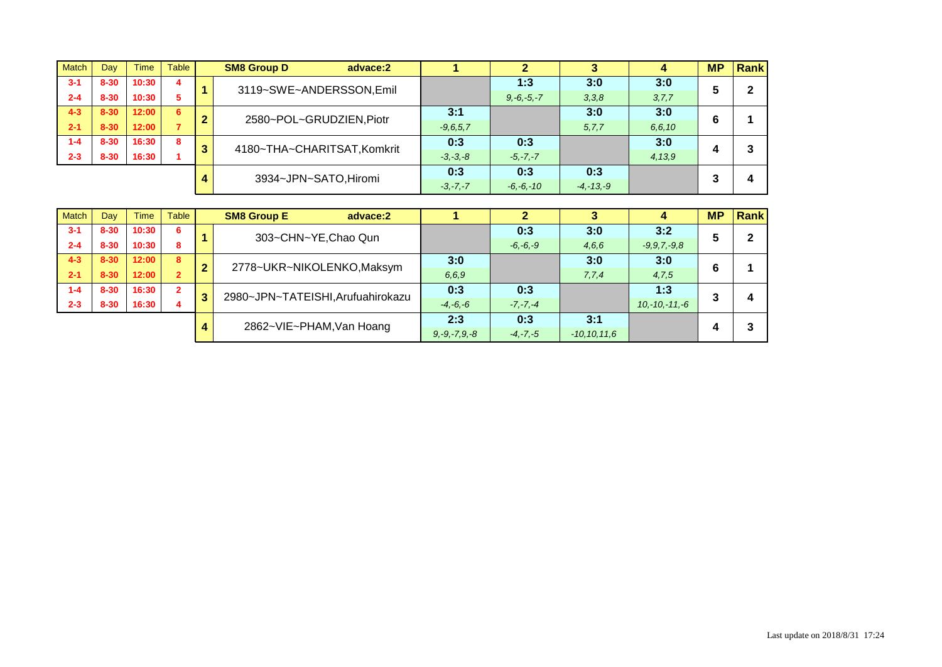| <b>Match</b> | Dav      | <b>Time</b> | Table |   | <b>SM8 Group D</b><br>advace:2 |  |               |                 |               |         | <b>MP</b> | Rank |
|--------------|----------|-------------|-------|---|--------------------------------|--|---------------|-----------------|---------------|---------|-----------|------|
| $3 - 1$      | $8 - 30$ | 10:30       | 4     |   | 3119~SWE~ANDERSSON,Emil        |  |               | 1:3             | 3:0           | 3:0     |           | 2    |
| $2 - 4$      | $8 - 30$ | 10:30       | 5     |   |                                |  |               | $9, -6, -5, -7$ | 3,3,8         | 3, 7, 7 | đ         |      |
| $4 - 3$      | $8 - 30$ | 12:00       | 6     | ≘ | 2580~POL~GRUDZIEN, Piotr       |  | 3:1           |                 | 3:0           | 3:0     |           |      |
| $2 - 1$      | $8 - 30$ | 12:00       |       |   |                                |  | $-9, 6, 5, 7$ |                 | 5, 7, 7       | 6.6.10  | b         |      |
| $1 - 4$      | $8 - 30$ | 16:30       | 8     | 3 | 4180~THA~CHARITSAT, Komkrit    |  | 0:3           | 0:3             |               | 3:0     |           | 3    |
| $2 - 3$      | $8 - 30$ | 16:30       |       |   |                                |  | $-3, -3, -8$  | $-5, -7, -7$    |               | 4,13,9  |           |      |
|              |          |             |       |   | 3934~JPN~SATO, Hiromi          |  | 0:3           | 0:3             | 0:3           |         |           |      |
|              |          |             |       |   |                                |  | $-3, -7, -7$  | $-6, -6, -10$   | $-4, -13, -9$ |         | ٠J        | 4    |

| <b>Match</b> | Day      | <b>Time</b> | Table          |                | <b>SM8 Group E</b><br>advace:2    |                    | າ            |                  |                   | <b>MP</b> | Rank |
|--------------|----------|-------------|----------------|----------------|-----------------------------------|--------------------|--------------|------------------|-------------------|-----------|------|
| $3 - 1$      | $8 - 30$ | 10:30       | 6              |                | 303~CHN~YE, Chao Qun              |                    | 0:3          | 3:0              | 3:2               | 5         | c    |
| $2 - 4$      | $8 - 30$ | 10:30       | 8              |                |                                   |                    | $-6, -6, -9$ | 4,6,6            | $-9, 9, 7, -9, 8$ |           | ∠    |
| $4 - 3$      | $8 - 30$ | 12:00       | 8              | $\overline{2}$ | 2778~UKR~NIKOLENKO, Maksym        | 3:0                |              | 3:0              | 3:0               | 6         |      |
| $2 - 1$      | $8 - 30$ | 12:00       | $\overline{2}$ |                |                                   | 6,6,9              |              | 7,7,4            | 4,7,5             |           |      |
| $1 - 4$      | $8 - 30$ | 16:30       | $\overline{2}$ | 3              | 2980~JPN~TATEISHI, Arufuahirokazu | 0:3                | 0:3          |                  | 1:3               | ≏         |      |
| $2 - 3$      | $8 - 30$ | 16:30       | 4              |                |                                   | $-4, -6, -6$       | $-7, -7, -4$ |                  | $10,-10,-11,-6$   | J.        | 4    |
|              |          |             |                |                | 2862~VIE~PHAM, Van Hoang          | 2:3                | 0:3          | 3:1              |                   |           | 3    |
|              |          |             |                | 4              |                                   | $9, -9, -7, 9, -8$ | $-4, -7, -5$ | $-10, 10, 11, 6$ |                   |           |      |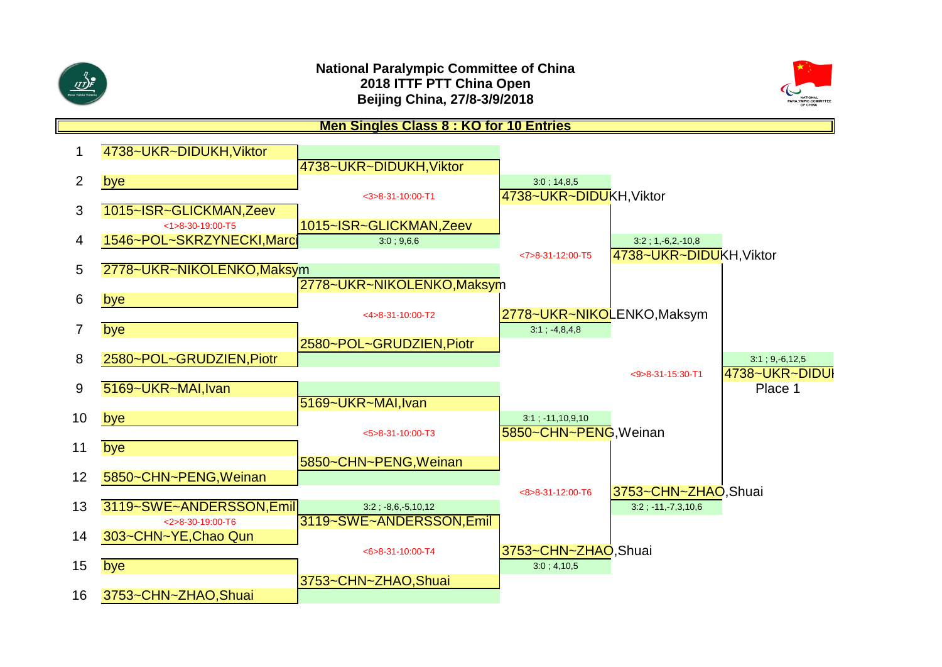



**Men Singles Class 8 : KO for 10 Entries**

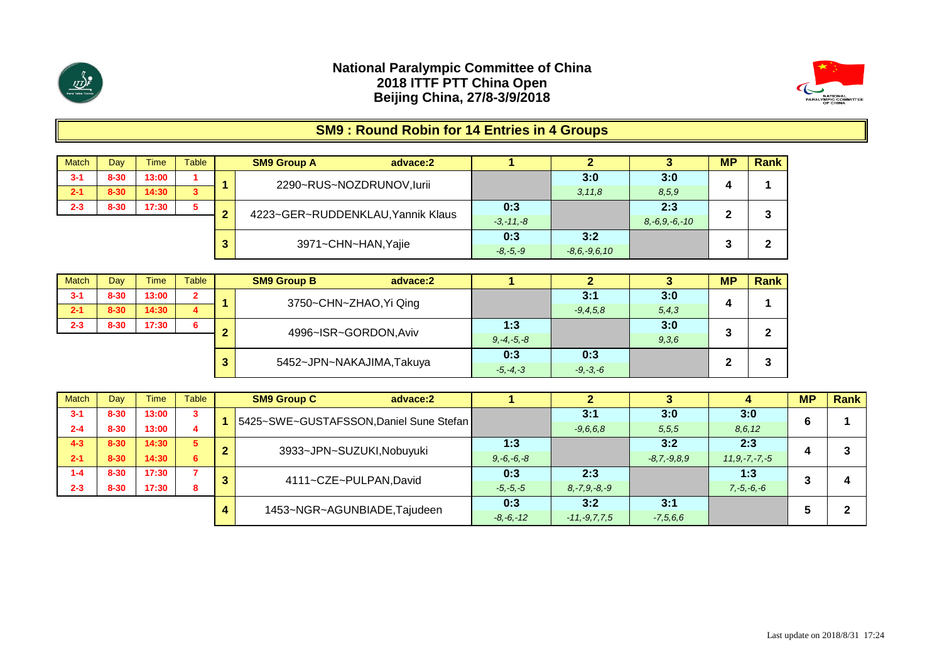



# **SM9 : Round Robin for 14 Entries in 4 Groups**

| <b>Match</b> | Dav      | <b>Time</b> | <b>Table</b> |   | <b>SM9 Group A</b><br>advace:2    |               |                    |                     | <b>MP</b> | <b>Rank</b> |
|--------------|----------|-------------|--------------|---|-----------------------------------|---------------|--------------------|---------------------|-----------|-------------|
| $3 - 1$      | $8 - 30$ | 13:00       |              |   | 2290~RUS~NOZDRUNOV,lurii          |               | 3:0                | 3:0                 |           |             |
| $2 - 1$      | $8 - 30$ | 14:30       | 3            |   |                                   |               | 3, 11, 8           | 8,5,9               | 4         |             |
| $2 - 3$      | $8 - 30$ | 17:30       | 5            | ◠ | 4223~GER~RUDDENKLAU, Yannik Klaus | 0:3           |                    | 2:3                 | m         | 3           |
|              |          |             |              |   |                                   | $-3, -11, -8$ |                    | $8, -6, 9, -6, -10$ | -         |             |
|              |          |             |              |   | 3971~CHN~HAN, Yajie               | 0:3           | 3:2                |                     | ∍         | ◠           |
|              |          |             |              |   |                                   | $-8, -5, -9$  | $-8, 6, -9, 6, 10$ |                     | w         |             |

| <b>Match</b> | Day      | <b>Time</b> | <b>Table</b>   |   | <b>SM9 Group B</b><br>advace:2 |                 |              |         | <b>MP</b> | Rank |
|--------------|----------|-------------|----------------|---|--------------------------------|-----------------|--------------|---------|-----------|------|
| $3 - 1$      | $8 - 30$ | 13:00       | $\overline{2}$ |   | 3750~CHN~ZHAO, Yi Qing         |                 | 3:1          | 3:0     |           |      |
| $2 - 1$      | $8 - 30$ | 14:30       | 4              |   |                                |                 | $-9.4.5.8$   | 5, 4, 3 |           |      |
| $2 - 3$      | $8 - 30$ | 17:30       | 6              |   | 4996~ISR~GORDON, Aviv          | 1:3             |              | 3:0     |           | 2    |
|              |          |             |                |   |                                | $9, -4, -5, -8$ |              | 9,3,6   | $\bullet$ | -    |
|              |          |             |                | ≏ | 5452~JPN~NAKAJIMA,Takuya       | 0:3             | 0:3          |         |           | ≏    |
|              |          |             |                |   |                                | $-5, -4, -3$    | $-9, -3, -6$ |         |           | J.   |

| <b>Match</b> | Dav      | Time  | <b>Table</b> |   | <b>SM9 Group C</b><br>advace:2          |                 |                    |                |                     | <b>MP</b> | Rank |
|--------------|----------|-------|--------------|---|-----------------------------------------|-----------------|--------------------|----------------|---------------------|-----------|------|
| $3 - 1$      | $8 - 30$ | 13:00 | 3            |   | 5425~SWE~GUSTAFSSON, Daniel Sune Stefan |                 | 3:1                | 3:0            | 3:0                 |           |      |
| $2 - 4$      | $8 - 30$ | 13:00 | 4            |   |                                         |                 | $-9.6.6.8$         | 5.5.5          | 8,6,12              | O         |      |
| $4 - 3$      | $8 - 30$ | 14:30 | 5            | ◠ | 3933~JPN~SUZUKI, Nobuyuki               | 1:3             |                    | 3:2            | 2:3                 |           | ີ    |
| $2 - 1$      | $8 - 30$ | 14:30 | 6            |   |                                         | $9, -6, -6, -8$ |                    | $-8.7, -9.8.9$ | $11, 9, -7, -7, -5$ |           |      |
| $1 - 4$      | $8 - 30$ | 17:30 |              |   | 4111~CZE~PULPAN, David                  | 0:3             | 2:3                |                | 1:3                 |           |      |
| $2 - 3$      | $8 - 30$ | 17:30 | 8            |   |                                         | $-5, -5, -5$    | $8, -7, 9, -8, -9$ |                | $7, -5, -6, -6$     | J         |      |
|              |          |       |              |   |                                         | 0:3             | 3:2                | 3:1            |                     |           | ົ    |
|              |          |       |              |   | 1453~NGR~AGUNBIADE, Tajudeen            | $-8, -6, -12$   | $-11, -9, 7, 7, 5$ | $-7,5,6,6$     |                     |           |      |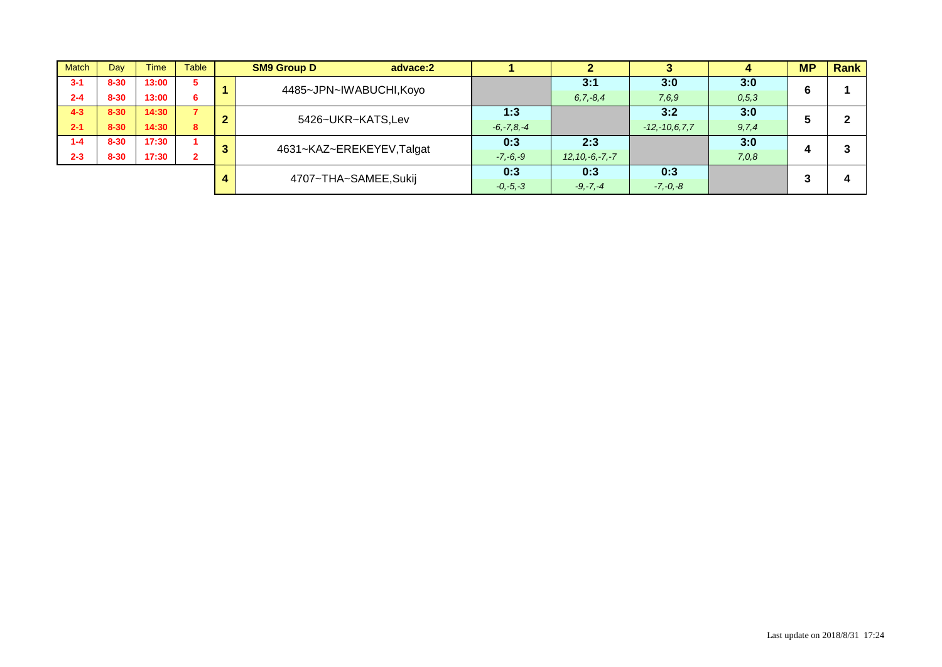| <b>Match</b> | Dav      | <b>Time</b> | Table | <b>SM9 Group D</b><br>advace:2 |                 |                      |                     |         | <b>MP</b> | <b>Rank</b> |
|--------------|----------|-------------|-------|--------------------------------|-----------------|----------------------|---------------------|---------|-----------|-------------|
| $3 - 1$      | $8 - 30$ | 13:00       | -5    | 4485~JPN~IWABUCHI, Koyo        |                 | 3:1                  | 3:0                 | 3:0     | 6         |             |
| $2 - 4$      | $8 - 30$ | 13:00       | 6     |                                |                 | $6, 7, -8, 4$        | 7,6,9               | 0, 5, 3 |           |             |
| $4 - 3$      | $8 - 30$ | 14:30       |       | 5426~UKR~KATS,Lev              | 1:3             |                      | 3:2                 | 3:0     |           |             |
| $2 - 1$      | $8 - 30$ | 14:30       | 8     |                                | $-6, -7, 8, -4$ |                      | $-12, -10, 6, 7, 7$ | 9, 7, 4 | э         |             |
| $1 - 4$      | $8 - 30$ | 17:30       |       | 4631~KAZ~EREKEYEV,Talgat       | 0:3             | 2:3                  |                     | 3:0     |           |             |
| $2 - 3$      | $8 - 30$ | 17:30       |       |                                | $-7, -6, -9$    | $12, 10, -6, -7, -7$ |                     | 7,0,8   | 4         |             |
|              |          |             |       | 4707~THA~SAMEE,Sukij           | 0:3             | 0:3                  | 0:3                 |         |           |             |
|              |          |             |       |                                | $-0, -5, -3$    | $-9, -7, -4$         | $-7, -0, -8$        |         |           |             |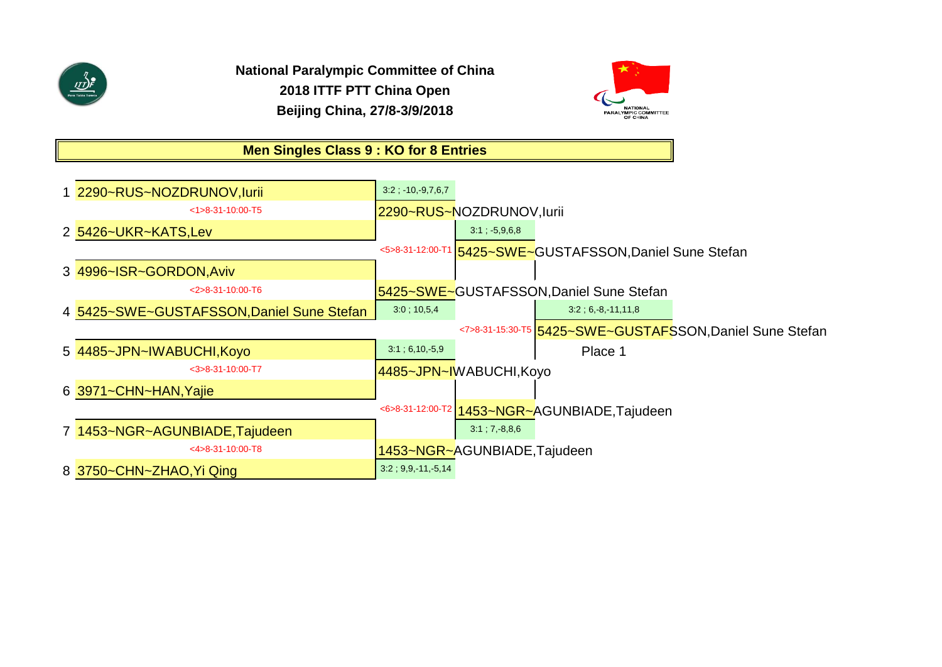

**National Paralympic Committee of China 2018 ITTF PTT China Open Beijing China, 27/8-3/9/2018**



# **Men Singles Class 9 : KO for 8 Entries**

| 1 2290~RUS~NOZDRUNOV, lurii               | $3:2$ ; $-10, -9, 7, 6, 7$ |                              |                                                          |                                                            |
|-------------------------------------------|----------------------------|------------------------------|----------------------------------------------------------|------------------------------------------------------------|
| $<1>8-31-10:00-T5$                        |                            | 2290~RUS~NOZDRUNOV,lurii     |                                                          |                                                            |
| 2 5426~UKR~KATS,Lev                       |                            | $3:1$ ; $-5,9,6,8$           |                                                          |                                                            |
|                                           |                            |                              | <5>8-31-12:00-T1 5425~SWE~GUSTAFSSON, Daniel Sune Stefan |                                                            |
| 3 4996~ISR~GORDON, Aviv                   |                            |                              |                                                          |                                                            |
| $<$ 2>8-31-10:00-T6                       |                            |                              | 5425~SWE~GUSTAFSSON, Daniel Sune Stefan                  |                                                            |
| 4 5425~SWE~GUSTAFSSON, Daniel Sune Stefan | 3.0; 10,5,4                |                              | $3:2$ ; 6, -8, -11, 11, 8                                |                                                            |
|                                           |                            |                              |                                                          | <7>8-31-15:30-T5   5425~SWE~GUSTAFSSON, Daniel Sune Stefan |
| 5 4485~JPN~IWABUCHI, Koyo                 | 3:1; 6,10, 5,9             |                              | Place 1                                                  |                                                            |
| $<$ 3>8-31-10:00-T7                       |                            | 4485~JPN~IWABUCHI, Koyo      |                                                          |                                                            |
| 6 3971~CHN~HAN, Yajie                     |                            |                              |                                                          |                                                            |
|                                           |                            |                              | <6>8-31-12:00-T2 1453~NGR~AGUNBIADE, Tajudeen            |                                                            |
| 7 1453~NGR~AGUNBIADE, Tajudeen            |                            | $3:1; 7,-8,8,6$              |                                                          |                                                            |
| $<$ 4 $>$ 8 - 31 - 10:00 - T8             |                            | 1453~NGR~AGUNBIADE, Tajudeen |                                                          |                                                            |
| 8 3750~CHN~ZHAO, Yi Qing                  | $3:2$ ; 9,9, 11, 5,14      |                              |                                                          |                                                            |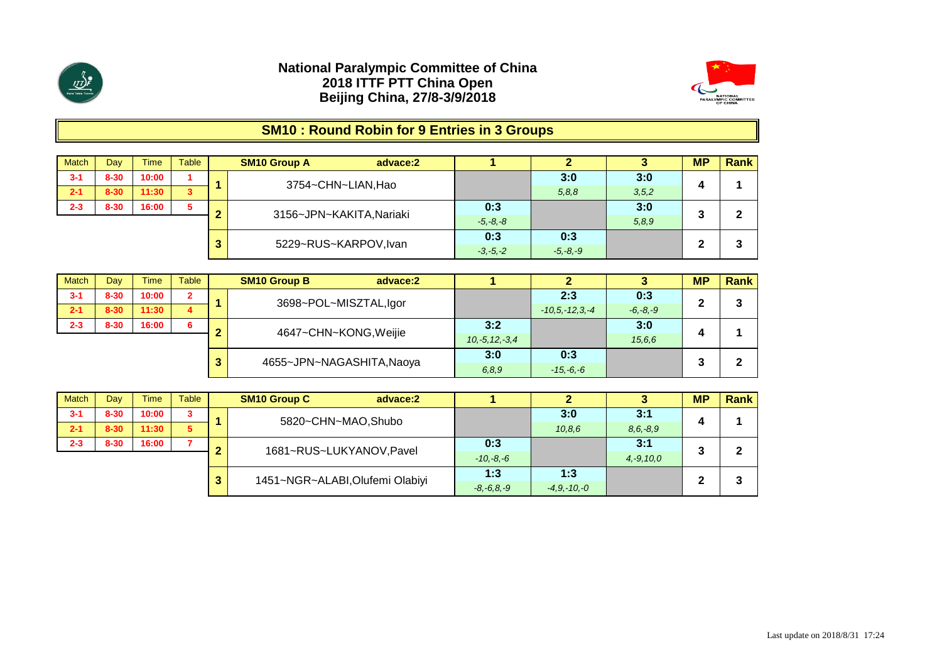



# **SM10 : Round Robin for 9 Entries in 3 Groups**

| Match   | Dav      | <b>Time</b> | Table |    | <b>SM10 Group A</b><br>advace:2 |              |              |         | <b>MP</b> | <b>Rank</b> |
|---------|----------|-------------|-------|----|---------------------------------|--------------|--------------|---------|-----------|-------------|
| $3 - 1$ | $8 - 30$ | 10:00       |       |    | 3754~CHN~LIAN, Hao              |              | 3:0          | 3:0     |           |             |
| $2 - 1$ | $8 - 30$ | 11:30       | 3     |    |                                 |              | 5,8,8        | 3, 5, 2 |           |             |
| $2 - 3$ | $8 - 30$ | 16:00       | 5     | ◠  | 3156~JPN~KAKITA, Nariaki        | 0:3          |              | 3:0     |           | ົ           |
|         |          |             |       |    |                                 | $-5, -8, -8$ |              | 5,8,9   |           |             |
|         |          |             |       | 3. | 5229~RUS~KARPOV, Ivan           | 0:3          | 0:3          |         | ◠         | ີ           |
|         |          |             |       |    |                                 | $-3, -5, -2$ | $-5, -8, -9$ |         |           |             |

| <b>Match</b> | Dav      | <b>Time</b> | Table          |    | <b>SM10 Group B</b><br>advace:2 |                     |                    |              | <b>MP</b> | Rank |
|--------------|----------|-------------|----------------|----|---------------------------------|---------------------|--------------------|--------------|-----------|------|
| $3 - 1$      | $8 - 30$ | 10:00       | $\overline{2}$ |    | 3698~POL~MISZTAL,Igor           |                     | 2:3                | 0:3          | ◠         | 3    |
| $2 - 1$      | $8 - 30$ | 11:30       | 4              |    |                                 |                     | $-10.5 - 12.3 - 4$ | $-6, -8, -9$ |           |      |
| $2 - 3$      | $8 - 30$ | 16:00       | 6              |    | 4647~CHN~KONG, Weijie           | 3:2                 |                    | 3:0          |           |      |
|              |          |             |                |    |                                 | $10, -5, 12, -3, 4$ |                    | 15,6,6       |           |      |
|              |          |             |                | 3. | 4655~JPN~NAGASHITA, Naoya       | 3:0                 | 0:3                |              |           | 2    |
|              |          |             |                |    |                                 | 6, 8, 9             | $-15, -6, -6$      |              |           |      |

| <b>Match</b> | Day      | <b>Time</b> | Table |   | <b>SM10 Group C</b><br>advace:2 |                 |                 |                | <b>MP</b> | Rank |
|--------------|----------|-------------|-------|---|---------------------------------|-----------------|-----------------|----------------|-----------|------|
| $3 - 1$      | $8 - 30$ | 10:00       | 3     |   | 5820~CHN~MAO,Shubo              |                 | 3:0             | 3:1            |           |      |
| $2 - 1$      | $8 - 30$ | 11:30       | 5     |   |                                 |                 | 10,8,6          | $8, 6, -8, 9$  |           |      |
| $2 - 3$      | $8 - 30$ | 16:00       |       | ◠ | 1681~RUS~LUKYANOV, Pavel        | 0:3             |                 | 3:1            |           | 2    |
|              |          |             |       |   |                                 | $-10,-8,-6$     |                 | $4, -9, 10, 0$ | J         |      |
|              |          |             |       | 3 | 1451~NGR~ALABI, Olufemi Olabiyi | 1:3             | 1:3             |                | ◠         | 3    |
|              |          |             |       |   |                                 | $-8, -6, 8, -9$ | $-4.9 - 10 - 0$ |                | ▴         |      |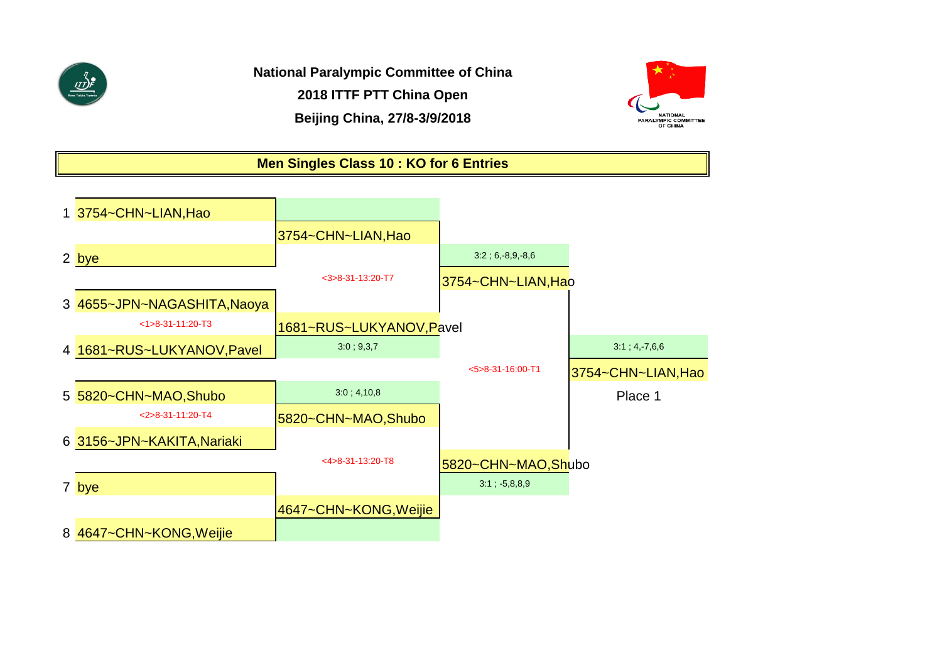

**National Paralympic Committee of China 2018 ITTF PTT China Open Beijing China, 27/8-3/9/2018**



### **Men Singles Class 10 : KO for 6 Entries**

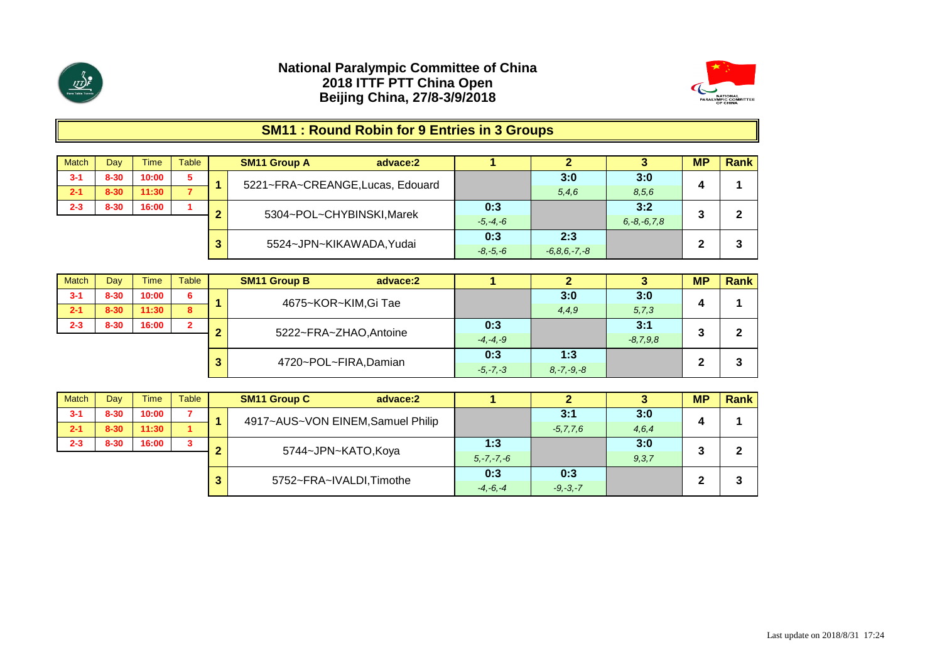



# **SM11 : Round Robin for 9 Entries in 3 Groups**

| <b>Match</b> | Dav      | Time  | Table |   | <b>SM11 Group A</b><br>advace:2  |              |                  |                   | <b>MP</b> | <b>Rank</b> |
|--------------|----------|-------|-------|---|----------------------------------|--------------|------------------|-------------------|-----------|-------------|
| $3 - 1$      | $8 - 30$ | 10:00 | 5     |   | 5221~FRA~CREANGE, Lucas, Edouard |              | 3:0              | 3:0               |           |             |
| $2 - 1$      | $8 - 30$ | 11:30 |       |   |                                  |              | 5,4,6            | 8,5,6             |           |             |
| $2 - 3$      | $8 - 30$ | 16:00 |       | ◠ | 5304~POL~CHYBINSKI, Marek        | 0:3          |                  | 3:2               | 3         | ີ           |
|              |          |       |       |   |                                  | $-5, -4, -6$ |                  | $6, -8, -6, 7, 8$ |           |             |
|              |          |       |       |   | 5524~JPN~KIKAWADA, Yudai         | 0:3          | 2:3              |                   | ∍         | ີ           |
|              |          |       |       | 3 |                                  | $-8, -5, -6$ | $-6.8.6 - 7. -8$ |                   | ∠         |             |

| <b>Match</b> | Dav      | <b>Time</b> | Table          |   | <b>SM11 Group B</b><br>advace:2 |              |                 |            | <b>MP</b> | <b>Rank</b> |
|--------------|----------|-------------|----------------|---|---------------------------------|--------------|-----------------|------------|-----------|-------------|
| $3 - 1$      | $8 - 30$ | 10:00       | 6              |   | 4675~KOR~KIM,Gi Tae             |              | 3:0             | 3:0        |           |             |
| $2 - 1$      | $8 - 30$ | 11:30       | 8              |   |                                 |              | 4,4,9           | 5, 7, 3    | 4         |             |
| $2 - 3$      | $8 - 30$ | 16:00       | $\overline{2}$ | ◠ | 5222~FRA~ZHAO, Antoine          | 0:3          |                 | 3:1        | 3         | ◠           |
|              |          |             |                |   |                                 | $-4, -4, -9$ |                 | $-8,7,9,8$ |           |             |
|              |          |             |                | 3 | 4720~POL~FIRA,Damian            | 0:3          | 1:3             |            | ◠         | 3           |
|              |          |             |                |   |                                 | $-5, -7, -3$ | $8, -7, -9, -8$ |            | ▴         |             |

| <b>Match</b> | Day      | <b>Time</b> | <b>Table</b> |                 | <b>SM11 Group C</b><br>advace:2   |              |              |               |       | <b>MP</b> | <b>Rank</b> |
|--------------|----------|-------------|--------------|-----------------|-----------------------------------|--------------|--------------|---------------|-------|-----------|-------------|
| $3 - 1$      | $8 - 30$ | 10:00       |              |                 | 4917~AUS~VON EINEM, Samuel Philip |              |              | 3:1           | 3:0   | Д         |             |
| $2 - 1$      | $8 - 30$ | 11:30       |              |                 |                                   |              |              | $-5, 7, 7, 6$ | 4,6,4 |           |             |
| $2 - 3$      | $8 - 30$ | 16:00       | 3            | ◠               | 5744~JPN~KATO,Koya                |              | 1:3          |               | 3:0   |           | ົ           |
|              |          |             |              | $5, -7, -7, -6$ |                                   | 9, 3, 7      |              |               |       |           |             |
|              |          |             |              | 3               | 5752~FRA~IVALDI, Timothe          |              | 0:3          | 0:3           |       | ີ         | 3           |
|              |          |             |              |                 |                                   | $-4, -6, -4$ | $-9, -3, -7$ |               | -     |           |             |